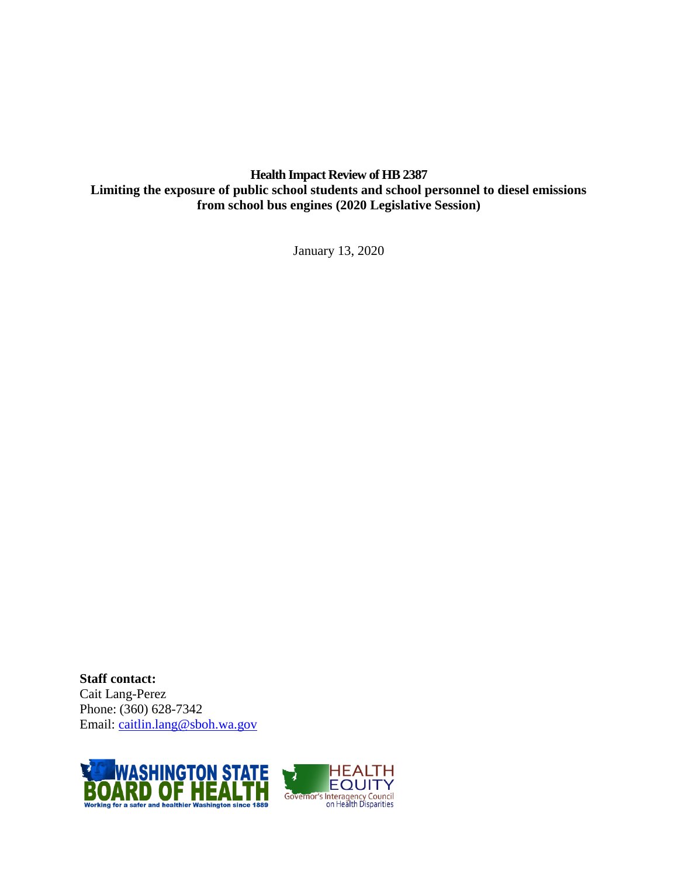**Health Impact Review of HB 2387 Limiting the exposure of public school students and school personnel to diesel emissions from school bus engines (2020 Legislative Session)**

January 13, 2020

**Staff contact:** Cait Lang-Perez Phone: (360) 628-7342 Email: [caitlin.lang@sboh.wa.gov](mailto:caitlin.lang@sboh.wa.gov)

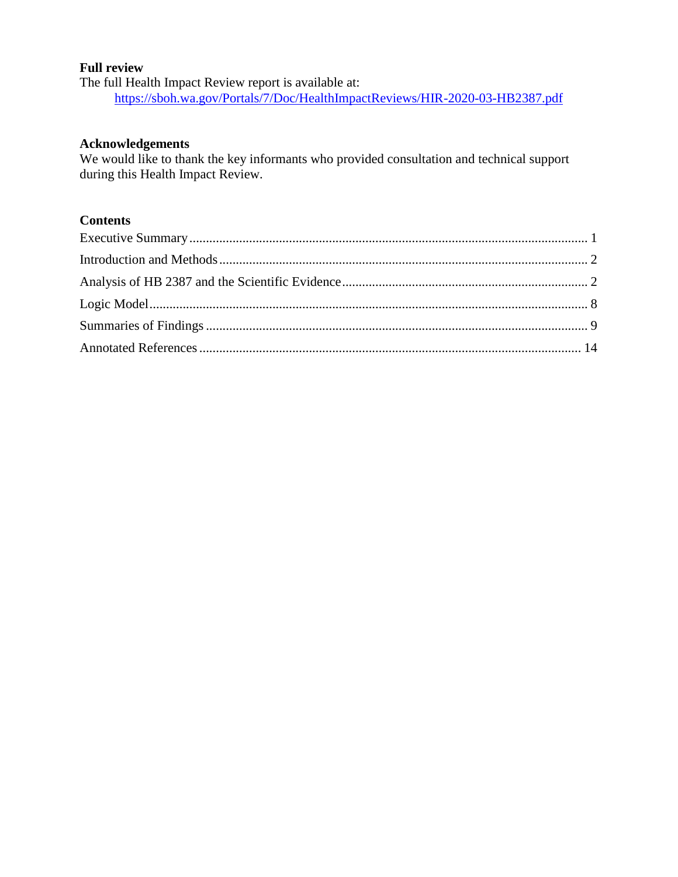### **Full review**

The full Health Impact Review report is available at: <https://sboh.wa.gov/Portals/7/Doc/HealthImpactReviews/HIR-2020-03-HB2387.pdf>

### **Acknowledgements**

We would like to thank the key informants who provided consultation and technical support during this Health Impact Review.

## **Contents**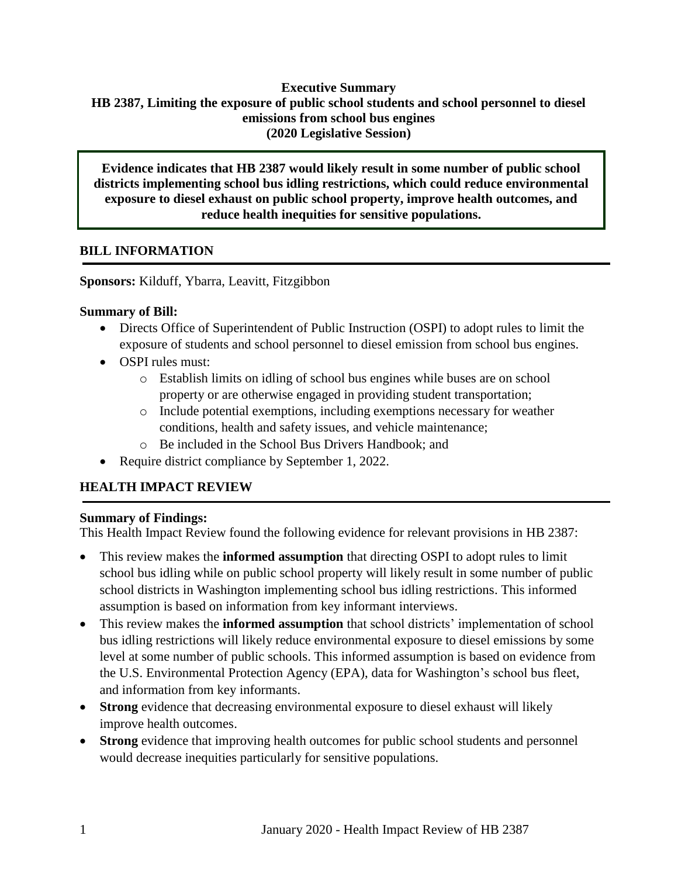### **Executive Summary HB 2387, Limiting the exposure of public school students and school personnel to diesel emissions from school bus engines (2020 Legislative Session)**

**Evidence indicates that HB 2387 would likely result in some number of public school districts implementing school bus idling restrictions, which could reduce environmental exposure to diesel exhaust on public school property, improve health outcomes, and reduce health inequities for sensitive populations.** 

## **BILL INFORMATION**

**Sponsors:** Kilduff, Ybarra, Leavitt, Fitzgibbon

### **Summary of Bill:**

- Directs Office of Superintendent of Public Instruction (OSPI) to adopt rules to limit the exposure of students and school personnel to diesel emission from school bus engines.
- OSPI rules must:
	- o Establish limits on idling of school bus engines while buses are on school property or are otherwise engaged in providing student transportation;
	- $\circ$  Include potential exemptions, including exemptions necessary for weather conditions, health and safety issues, and vehicle maintenance;
	- o Be included in the School Bus Drivers Handbook; and
- Require district compliance by September 1, 2022.

# **HEALTH IMPACT REVIEW**

## **Summary of Findings:**

This Health Impact Review found the following evidence for relevant provisions in HB 2387:

- This review makes the **informed assumption** that directing OSPI to adopt rules to limit school bus idling while on public school property will likely result in some number of public school districts in Washington implementing school bus idling restrictions. This informed assumption is based on information from key informant interviews.
- This review makes the **informed assumption** that school districts' implementation of school bus idling restrictions will likely reduce environmental exposure to diesel emissions by some level at some number of public schools. This informed assumption is based on evidence from the U.S. Environmental Protection Agency (EPA), data for Washington's school bus fleet, and information from key informants.
- **Strong** evidence that decreasing environmental exposure to diesel exhaust will likely improve health outcomes.
- **Strong** evidence that improving health outcomes for public school students and personnel would decrease inequities particularly for sensitive populations.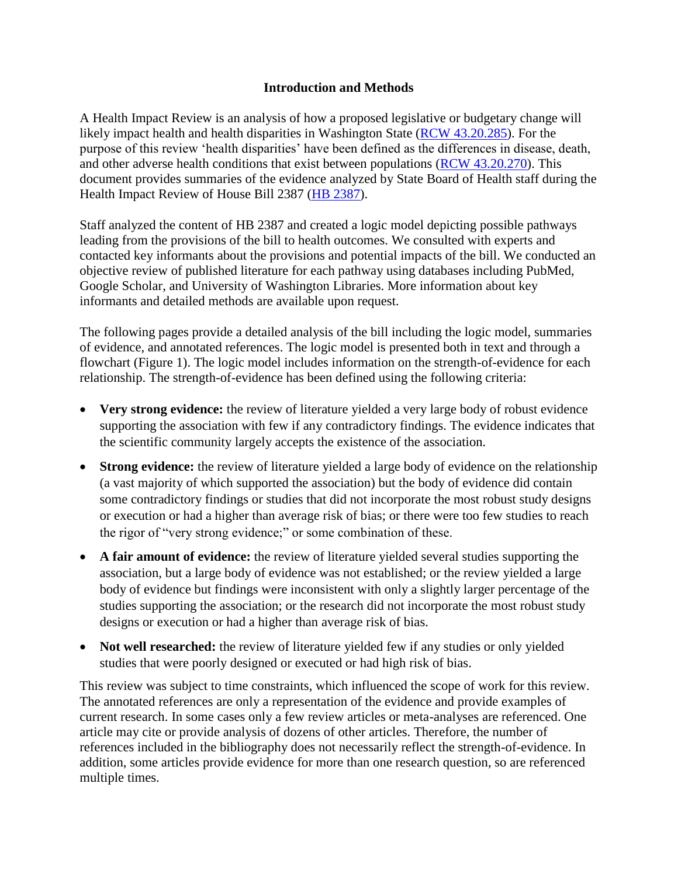### **Introduction and Methods**

<span id="page-3-1"></span><span id="page-3-0"></span>A Health Impact Review is an analysis of how a proposed legislative or budgetary change will likely impact health and health disparities in Washington State [\(RCW 43.20.285\)](http://apps.leg.wa.gov/rcw/default.aspx?cite=43.20.285). For the purpose of this review 'health disparities' have been defined as the differences in disease, death, and other adverse health conditions that exist between populations [\(RCW 43.20.270\)](http://apps.leg.wa.gov/rcw/default.aspx?cite=43.20.270). This document provides summaries of the evidence analyzed by State Board of Health staff during the Health Impact Review of House Bill 2387 (HB [2387\)](https://app.leg.wa.gov/billsummary?BillNumber=2387&Initiative=false&Year=2019).

Staff analyzed the content of HB 2387 and created a logic model depicting possible pathways leading from the provisions of the bill to health outcomes. We consulted with experts and contacted key informants about the provisions and potential impacts of the bill. We conducted an objective review of published literature for each pathway using databases including PubMed, Google Scholar, and University of Washington Libraries. More information about key informants and detailed methods are available upon request.

The following pages provide a detailed analysis of the bill including the logic model, summaries of evidence, and annotated references. The logic model is presented both in text and through a flowchart (Figure 1). The logic model includes information on the strength-of-evidence for each relationship. The strength-of-evidence has been defined using the following criteria:

- Very strong evidence: the review of literature yielded a very large body of robust evidence supporting the association with few if any contradictory findings. The evidence indicates that the scientific community largely accepts the existence of the association.
- **Strong evidence:** the review of literature yielded a large body of evidence on the relationship (a vast majority of which supported the association) but the body of evidence did contain some contradictory findings or studies that did not incorporate the most robust study designs or execution or had a higher than average risk of bias; or there were too few studies to reach the rigor of "very strong evidence;" or some combination of these.
- **A fair amount of evidence:** the review of literature yielded several studies supporting the association, but a large body of evidence was not established; or the review yielded a large body of evidence but findings were inconsistent with only a slightly larger percentage of the studies supporting the association; or the research did not incorporate the most robust study designs or execution or had a higher than average risk of bias.
- **Not well researched:** the review of literature yielded few if any studies or only yielded studies that were poorly designed or executed or had high risk of bias.

This review was subject to time constraints, which influenced the scope of work for this review. The annotated references are only a representation of the evidence and provide examples of current research. In some cases only a few review articles or meta-analyses are referenced. One article may cite or provide analysis of dozens of other articles. Therefore, the number of references included in the bibliography does not necessarily reflect the strength-of-evidence. In addition, some articles provide evidence for more than one research question, so are referenced multiple times.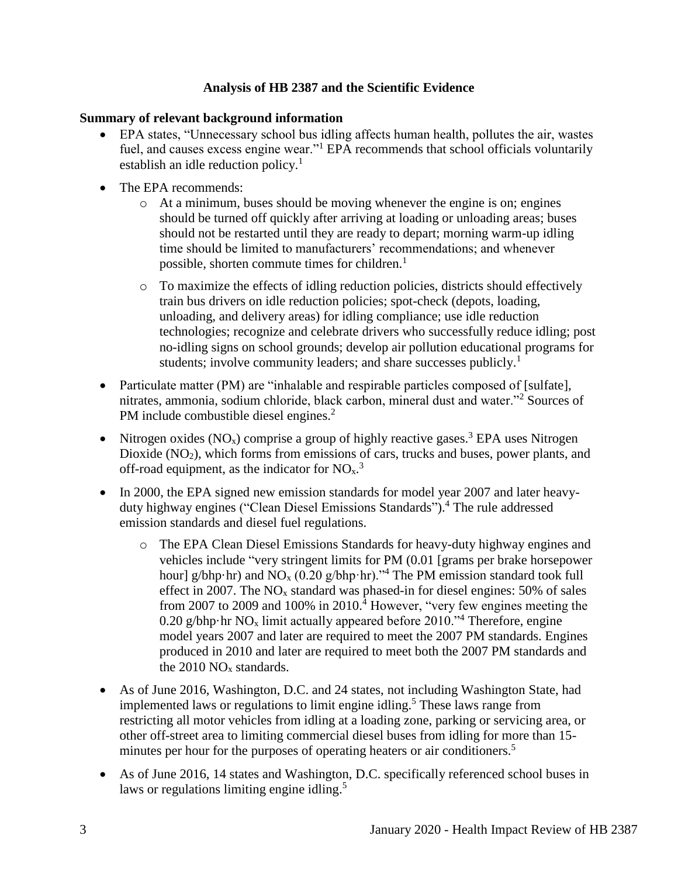## **Analysis of HB 2387 and the Scientific Evidence**

## **Summary of relevant background information**

- EPA states, "Unnecessary school bus idling affects human health, pollutes the air, wastes fuel, and causes excess engine wear."<sup>1</sup> EPA recommends that school officials voluntarily establish an idle reduction policy. $<sup>1</sup>$ </sup>
- The EPA recommends:
	- $\circ$  At a minimum, buses should be moving whenever the engine is on; engines should be turned off quickly after arriving at loading or unloading areas; buses should not be restarted until they are ready to depart; morning warm-up idling time should be limited to manufacturers' recommendations; and whenever possible, shorten commute times for children. $<sup>1</sup>$ </sup>
	- o To maximize the effects of idling reduction policies, districts should effectively train bus drivers on idle reduction policies; spot-check (depots, loading, unloading, and delivery areas) for idling compliance; use idle reduction technologies; recognize and celebrate drivers who successfully reduce idling; post no-idling signs on school grounds; develop air pollution educational programs for students; involve community leaders; and share successes publicly.<sup>1</sup>
- Particulate matter (PM) are "inhalable and respirable particles composed of [sulfate], nitrates, ammonia, sodium chloride, black carbon, mineral dust and water."<sup>2</sup> Sources of PM include combustible diesel engines.<sup>2</sup>
- Nitrogen oxides (NO<sub>x</sub>) comprise a group of highly reactive gases.<sup>3</sup> EPA uses Nitrogen Dioxide  $(NO<sub>2</sub>)$ , which forms from emissions of cars, trucks and buses, power plants, and off-road equipment, as the indicator for  $NO<sub>x</sub>$ .
- In 2000, the EPA signed new emission standards for model year 2007 and later heavyduty highway engines ("Clean Diesel Emissions Standards"). <sup>4</sup> The rule addressed emission standards and diesel fuel regulations.
	- o The EPA Clean Diesel Emissions Standards for heavy-duty highway engines and vehicles include "very stringent limits for PM (0.01 [grams per brake horsepower hour] g/bhp·hr) and  $NO<sub>x</sub>$  (0.20 g/bhp·hr).<sup>34</sup> The PM emission standard took full effect in 2007. The  $NO<sub>x</sub>$  standard was phased-in for diesel engines: 50% of sales from 2007 to 2009 and 100% in 2010.<sup> $\frac{1}{4}$ </sup> However, "very few engines meeting the 0.20 g/bhp·hr  $NO_x$  limit actually appeared before 2010.<sup> $\gamma$ 4</sup> Therefore, engine model years 2007 and later are required to meet the 2007 PM standards. Engines produced in 2010 and later are required to meet both the 2007 PM standards and the  $2010 \text{ NO}_x$  standards.
- As of June 2016, Washington, D.C. and 24 states, not including Washington State, had implemented laws or regulations to limit engine idling.<sup>5</sup> These laws range from restricting all motor vehicles from idling at a loading zone, parking or servicing area, or other off-street area to limiting commercial diesel buses from idling for more than 15 minutes per hour for the purposes of operating heaters or air conditioners.<sup>5</sup>
- As of June 2016, 14 states and Washington, D.C. specifically referenced school buses in laws or regulations limiting engine idling.<sup>5</sup>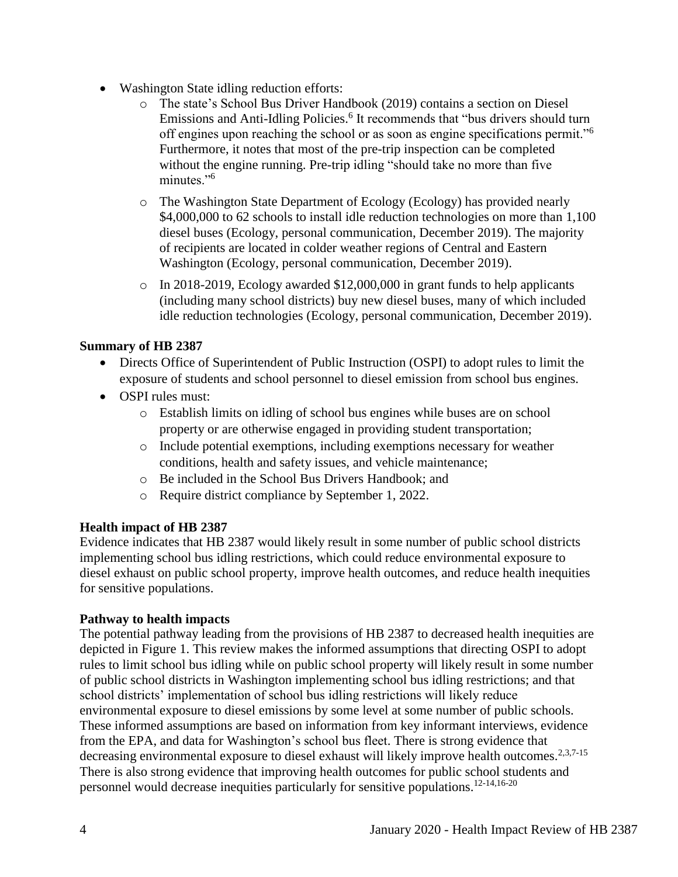- Washington State idling reduction efforts:
	- o The state's School Bus Driver Handbook (2019) contains a section on Diesel Emissions and Anti-Idling Policies.<sup>6</sup> It recommends that "bus drivers should turn off engines upon reaching the school or as soon as engine specifications permit."<sup>6</sup> Furthermore, it notes that most of the pre-trip inspection can be completed without the engine running. Pre-trip idling "should take no more than five minutes."<sup>6</sup>
	- o The Washington State Department of Ecology (Ecology) has provided nearly \$4,000,000 to 62 schools to install idle reduction technologies on more than 1,100 diesel buses (Ecology, personal communication, December 2019). The majority of recipients are located in colder weather regions of Central and Eastern Washington (Ecology, personal communication, December 2019).
	- o In 2018-2019, Ecology awarded \$12,000,000 in grant funds to help applicants (including many school districts) buy new diesel buses, many of which included idle reduction technologies (Ecology, personal communication, December 2019).

## **Summary of HB 2387**

- Directs Office of Superintendent of Public Instruction (OSPI) to adopt rules to limit the exposure of students and school personnel to diesel emission from school bus engines.
- OSPI rules must:
	- o Establish limits on idling of school bus engines while buses are on school property or are otherwise engaged in providing student transportation;
	- o Include potential exemptions, including exemptions necessary for weather conditions, health and safety issues, and vehicle maintenance;
	- o Be included in the School Bus Drivers Handbook; and
	- o Require district compliance by September 1, 2022.

#### **Health impact of HB 2387**

Evidence indicates that HB 2387 would likely result in some number of public school districts implementing school bus idling restrictions, which could reduce environmental exposure to diesel exhaust on public school property, improve health outcomes, and reduce health inequities for sensitive populations.

#### **Pathway to health impacts**

The potential pathway leading from the provisions of HB 2387 to decreased health inequities are depicted in Figure 1. This review makes the informed assumptions that directing OSPI to adopt rules to limit school bus idling while on public school property will likely result in some number of public school districts in Washington implementing school bus idling restrictions; and that school districts' implementation of school bus idling restrictions will likely reduce environmental exposure to diesel emissions by some level at some number of public schools. These informed assumptions are based on information from key informant interviews, evidence from the EPA, and data for Washington's school bus fleet. There is strong evidence that decreasing environmental exposure to diesel exhaust will likely improve health outcomes.<sup>2,3,7-15</sup> There is also strong evidence that improving health outcomes for public school students and personnel would decrease inequities particularly for sensitive populations.12-14,16-20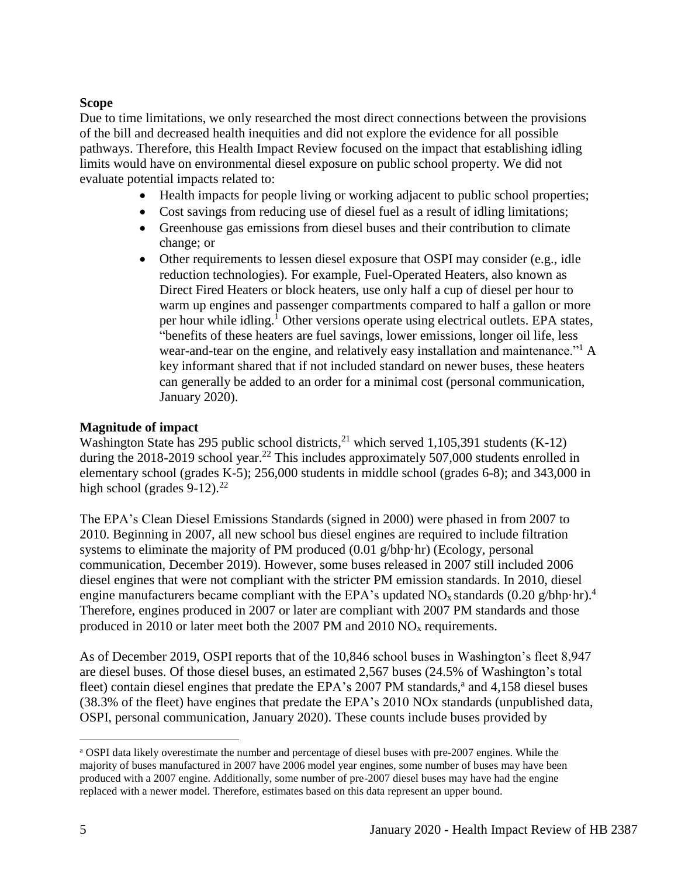### **Scope**

Due to time limitations, we only researched the most direct connections between the provisions of the bill and decreased health inequities and did not explore the evidence for all possible pathways. Therefore, this Health Impact Review focused on the impact that establishing idling limits would have on environmental diesel exposure on public school property. We did not evaluate potential impacts related to:

- Health impacts for people living or working adjacent to public school properties;
- Cost savings from reducing use of diesel fuel as a result of idling limitations;
- Greenhouse gas emissions from diesel buses and their contribution to climate change; or
- Other requirements to lessen diesel exposure that OSPI may consider (e.g., idle reduction technologies). For example, Fuel-Operated Heaters, also known as Direct Fired Heaters or block heaters, use only half a cup of diesel per hour to warm up engines and passenger compartments compared to half a gallon or more per hour while idling.<sup>1</sup> Other versions operate using electrical outlets. EPA states, "benefits of these heaters are fuel savings, lower emissions, longer oil life, less wear-and-tear on the engine, and relatively easy installation and maintenance."<sup>1</sup> A key informant shared that if not included standard on newer buses, these heaters can generally be added to an order for a minimal cost (personal communication, January 2020).

## **Magnitude of impact**

Washington State has 295 public school districts,<sup>21</sup> which served 1,105,391 students (K-12) during the 2018-2019 school year.<sup>22</sup> This includes approximately 507,000 students enrolled in elementary school (grades K-5); 256,000 students in middle school (grades 6-8); and 343,000 in high school (grades  $9-12$ ).<sup>22</sup>

The EPA's Clean Diesel Emissions Standards (signed in 2000) were phased in from 2007 to 2010. Beginning in 2007, all new school bus diesel engines are required to include filtration systems to eliminate the majority of PM produced (0.01 g/bhp·hr) (Ecology, personal communication, December 2019). However, some buses released in 2007 still included 2006 diesel engines that were not compliant with the stricter PM emission standards. In 2010, diesel engine manufacturers became compliant with the EPA's updated  $NO_x$  standards  $(0.20 \text{ g/bhp} \cdot \text{hr})$ .<sup>4</sup> Therefore, engines produced in 2007 or later are compliant with 2007 PM standards and those produced in 2010 or later meet both the 2007 PM and 2010  $NO<sub>x</sub>$  requirements.

As of December 2019, OSPI reports that of the 10,846 school buses in Washington's fleet 8,947 are diesel buses. Of those diesel buses, an estimated 2,567 buses (24.5% of Washington's total fleet) contain diesel engines that predate the EPA's 2007 PM standards,<sup>a</sup> and 4,158 diesel buses (38.3% of the fleet) have engines that predate the EPA's 2010 NOx standards (unpublished data, OSPI, personal communication, January 2020). These counts include buses provided by

 $\overline{a}$ 

<sup>a</sup> OSPI data likely overestimate the number and percentage of diesel buses with pre-2007 engines. While the majority of buses manufactured in 2007 have 2006 model year engines, some number of buses may have been produced with a 2007 engine. Additionally, some number of pre-2007 diesel buses may have had the engine replaced with a newer model. Therefore, estimates based on this data represent an upper bound.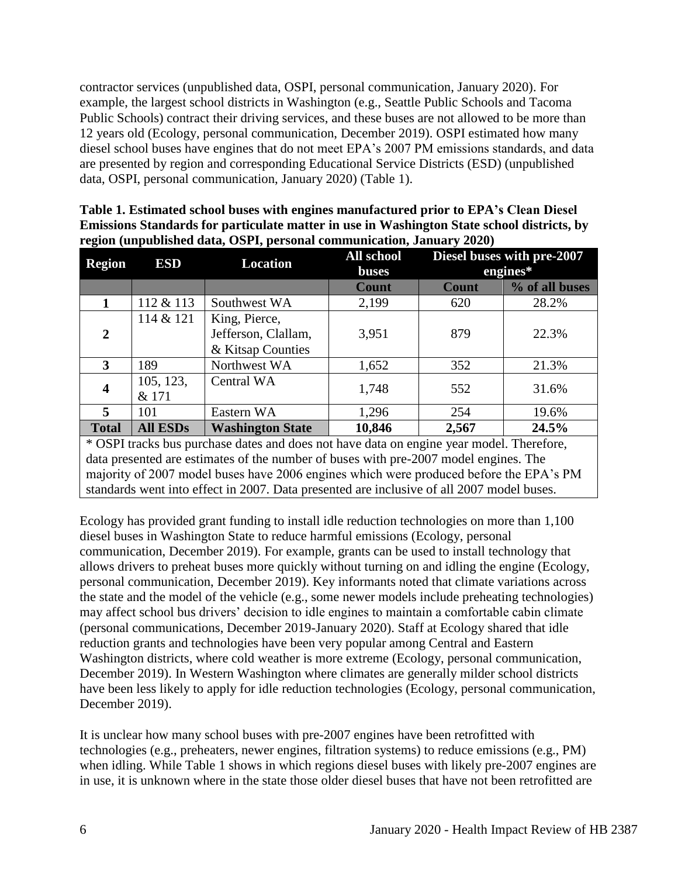contractor services (unpublished data, OSPI, personal communication, January 2020). For example, the largest school districts in Washington (e.g., Seattle Public Schools and Tacoma Public Schools) contract their driving services, and these buses are not allowed to be more than 12 years old (Ecology, personal communication, December 2019). OSPI estimated how many diesel school buses have engines that do not meet EPA's 2007 PM emissions standards, and data are presented by region and corresponding Educational Service Districts (ESD) (unpublished data, OSPI, personal communication, January 2020) (Table 1).

| Table 1. Estimated school buses with engines manufactured prior to EPA's Clean Diesel      |
|--------------------------------------------------------------------------------------------|
| Emissions Standards for particulate matter in use in Washington State school districts, by |
| region (unpublished data, OSPI, personal communication, January 2020)                      |

| <b>Region</b>                                                                            | <b>ESD</b>         | <b>Location</b>                                           | All school<br><b>buses</b> | Diesel buses with pre-2007<br>engines* |                |  |
|------------------------------------------------------------------------------------------|--------------------|-----------------------------------------------------------|----------------------------|----------------------------------------|----------------|--|
|                                                                                          |                    |                                                           | <b>Count</b>               | <b>Count</b>                           | % of all buses |  |
|                                                                                          | 112 & 113          | Southwest WA                                              | 2,199                      | 620                                    | 28.2%          |  |
| $\overline{2}$                                                                           | 114 & 121          | King, Pierce,<br>Jefferson, Clallam,<br>& Kitsap Counties | 3,951                      | 879                                    | 22.3%          |  |
| 3                                                                                        | 189                | Northwest WA                                              | 1,652                      | 352                                    | 21.3%          |  |
| 4                                                                                        | 105, 123,<br>& 171 | Central WA                                                | 1,748                      | 552                                    | 31.6%          |  |
| 5                                                                                        | 101                | Eastern WA                                                | 1,296                      | 254                                    | 19.6%          |  |
| <b>Total</b>                                                                             | <b>All ESDs</b>    | <b>Washington State</b>                                   | 10,846                     | 2,567                                  | 24.5%          |  |
| * OSPI tracks bus purchase dates and does not have data on engine year model. Therefore, |                    |                                                           |                            |                                        |                |  |

data presented are estimates of the number of buses with pre-2007 model engines. The majority of 2007 model buses have 2006 engines which were produced before the EPA's PM standards went into effect in 2007. Data presented are inclusive of all 2007 model buses.

Ecology has provided grant funding to install idle reduction technologies on more than 1,100 diesel buses in Washington State to reduce harmful emissions (Ecology, personal communication, December 2019). For example, grants can be used to install technology that allows drivers to preheat buses more quickly without turning on and idling the engine (Ecology, personal communication, December 2019). Key informants noted that climate variations across the state and the model of the vehicle (e.g., some newer models include preheating technologies) may affect school bus drivers' decision to idle engines to maintain a comfortable cabin climate (personal communications, December 2019-January 2020). Staff at Ecology shared that idle reduction grants and technologies have been very popular among Central and Eastern Washington districts, where cold weather is more extreme (Ecology, personal communication, December 2019). In Western Washington where climates are generally milder school districts have been less likely to apply for idle reduction technologies (Ecology, personal communication, December 2019).

It is unclear how many school buses with pre-2007 engines have been retrofitted with technologies (e.g., preheaters, newer engines, filtration systems) to reduce emissions (e.g., PM) when idling. While Table 1 shows in which regions diesel buses with likely pre-2007 engines are in use, it is unknown where in the state those older diesel buses that have not been retrofitted are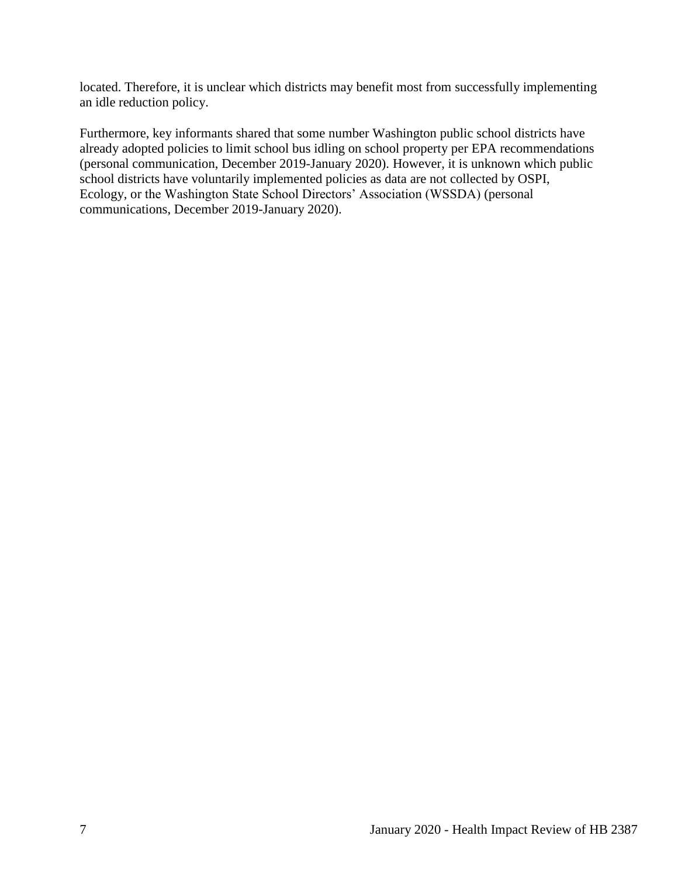located. Therefore, it is unclear which districts may benefit most from successfully implementing an idle reduction policy.

Furthermore, key informants shared that some number Washington public school districts have already adopted policies to limit school bus idling on school property per EPA recommendations (personal communication, December 2019-January 2020). However, it is unknown which public school districts have voluntarily implemented policies as data are not collected by OSPI, Ecology, or the Washington State School Directors' Association (WSSDA) (personal communications, December 2019-January 2020).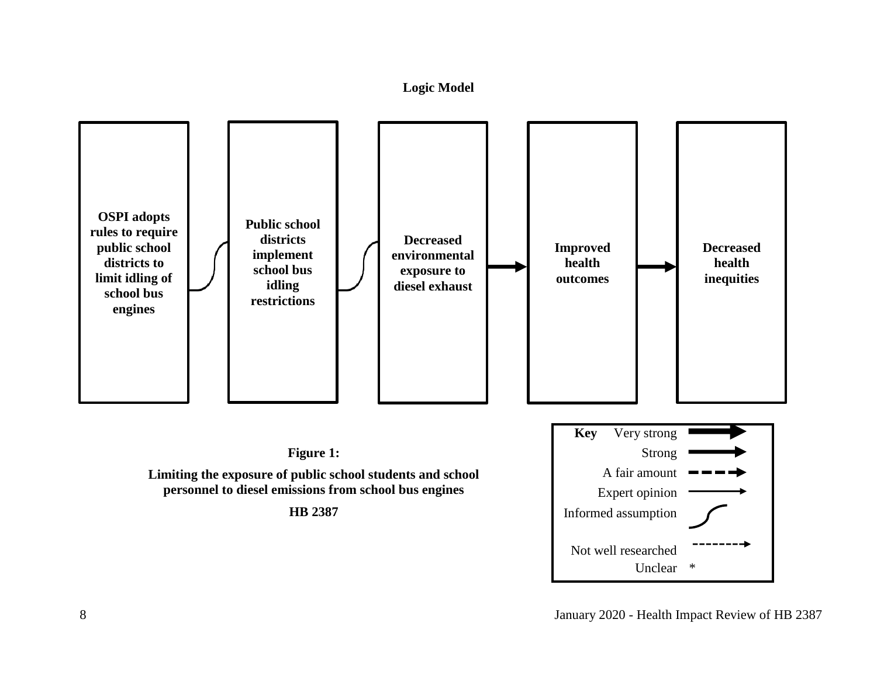## **Logic Model**

<span id="page-9-0"></span>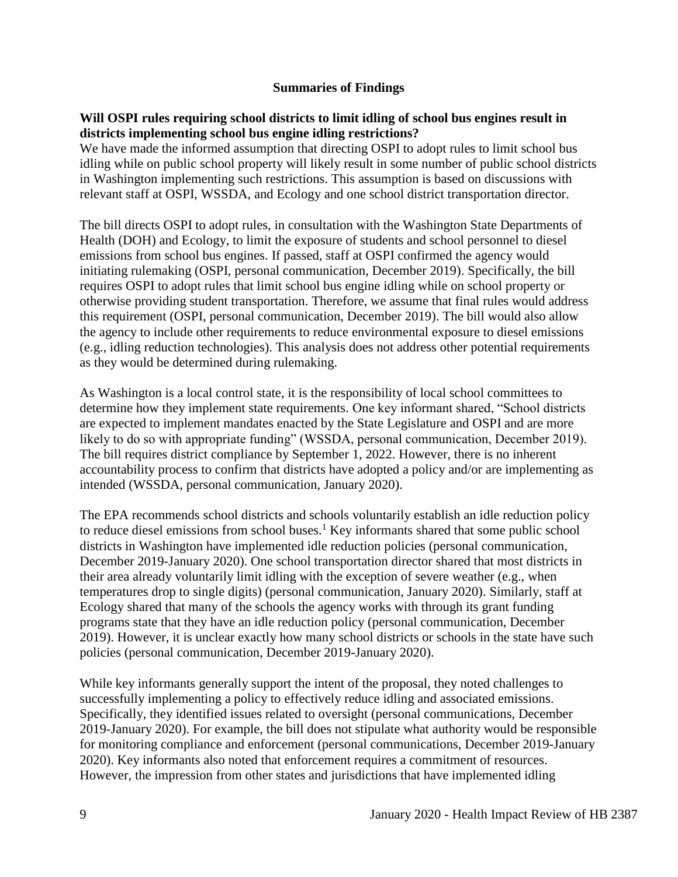### **Summaries of Findings**

#### <span id="page-10-0"></span>**Will OSPI rules requiring school districts to limit idling of school bus engines result in districts implementing school bus engine idling restrictions?**

We have made the informed assumption that directing OSPI to adopt rules to limit school bus idling while on public school property will likely result in some number of public school districts in Washington implementing such restrictions. This assumption is based on discussions with relevant staff at OSPI, WSSDA, and Ecology and one school district transportation director.

The bill directs OSPI to adopt rules, in consultation with the Washington State Departments of Health (DOH) and Ecology, to limit the exposure of students and school personnel to diesel emissions from school bus engines. If passed, staff at OSPI confirmed the agency would initiating rulemaking (OSPI, personal communication, December 2019). Specifically, the bill requires OSPI to adopt rules that limit school bus engine idling while on school property or otherwise providing student transportation. Therefore, we assume that final rules would address this requirement (OSPI, personal communication, December 2019). The bill would also allow the agency to include other requirements to reduce environmental exposure to diesel emissions (e.g., idling reduction technologies). This analysis does not address other potential requirements as they would be determined during rulemaking.

As Washington is a local control state, it is the responsibility of local school committees to determine how they implement state requirements. One key informant shared, "School districts are expected to implement mandates enacted by the State Legislature and OSPI and are more likely to do so with appropriate funding" (WSSDA, personal communication, December 2019). The bill requires district compliance by September 1, 2022. However, there is no inherent accountability process to confirm that districts have adopted a policy and/or are implementing as intended (WSSDA, personal communication, January 2020).

The EPA recommends school districts and schools voluntarily establish an idle reduction policy to reduce diesel emissions from school buses.<sup>1</sup> Key informants shared that some public school districts in Washington have implemented idle reduction policies (personal communication, December 2019-January 2020). One school transportation director shared that most districts in their area already voluntarily limit idling with the exception of severe weather (e.g., when temperatures drop to single digits) (personal communication, January 2020). Similarly, staff at Ecology shared that many of the schools the agency works with through its grant funding programs state that they have an idle reduction policy (personal communication, December 2019). However, it is unclear exactly how many school districts or schools in the state have such policies (personal communication, December 2019-January 2020).

While key informants generally support the intent of the proposal, they noted challenges to successfully implementing a policy to effectively reduce idling and associated emissions. Specifically, they identified issues related to oversight (personal communications, December 2019-January 2020). For example, the bill does not stipulate what authority would be responsible for monitoring compliance and enforcement (personal communications, December 2019-January 2020). Key informants also noted that enforcement requires a commitment of resources. However, the impression from other states and jurisdictions that have implemented idling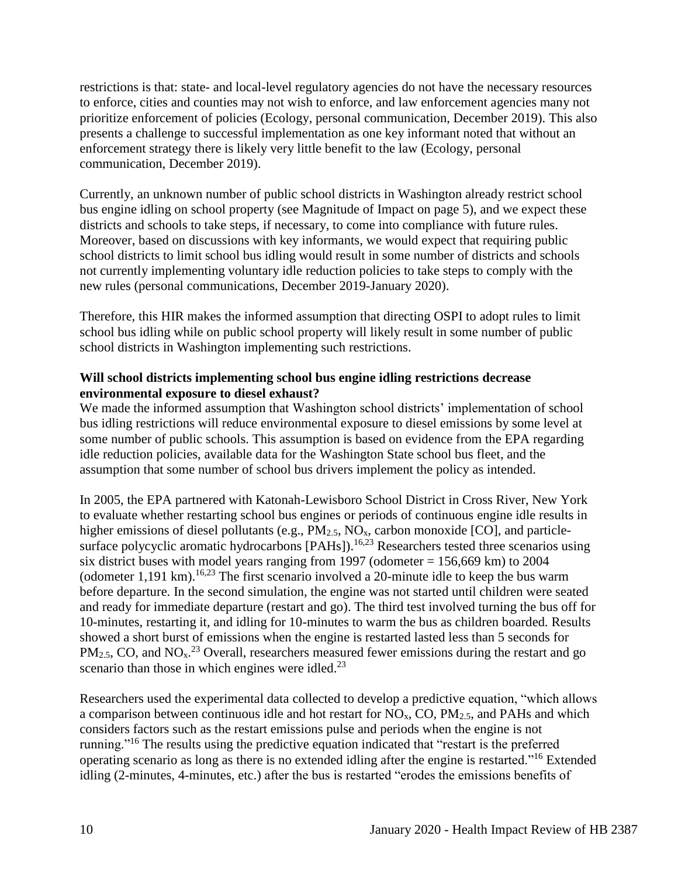restrictions is that: state- and local-level regulatory agencies do not have the necessary resources to enforce, cities and counties may not wish to enforce, and law enforcement agencies many not prioritize enforcement of policies (Ecology, personal communication, December 2019). This also presents a challenge to successful implementation as one key informant noted that without an enforcement strategy there is likely very little benefit to the law (Ecology, personal communication, December 2019).

Currently, an unknown number of public school districts in Washington already restrict school bus engine idling on school property (see Magnitude of Impact on page 5), and we expect these districts and schools to take steps, if necessary, to come into compliance with future rules. Moreover, based on discussions with key informants, we would expect that requiring public school districts to limit school bus idling would result in some number of districts and schools not currently implementing voluntary idle reduction policies to take steps to comply with the new rules (personal communications, December 2019-January 2020).

Therefore, this HIR makes the informed assumption that directing OSPI to adopt rules to limit school bus idling while on public school property will likely result in some number of public school districts in Washington implementing such restrictions.

## **Will school districts implementing school bus engine idling restrictions decrease environmental exposure to diesel exhaust?**

We made the informed assumption that Washington school districts' implementation of school bus idling restrictions will reduce environmental exposure to diesel emissions by some level at some number of public schools. This assumption is based on evidence from the EPA regarding idle reduction policies, available data for the Washington State school bus fleet, and the assumption that some number of school bus drivers implement the policy as intended.

In 2005, the EPA partnered with Katonah-Lewisboro School District in Cross River, New York to evaluate whether restarting school bus engines or periods of continuous engine idle results in higher emissions of diesel pollutants (e.g.,  $PM_{2.5}$ ,  $NO_{x}$ , carbon monoxide [CO], and particlesurface polycyclic aromatic hydrocarbons [PAHs]).<sup>16,23</sup> Researchers tested three scenarios using six district buses with model years ranging from 1997 (odometer  $= 156,669$  km) to 2004 (odometer 1,191 km).<sup>16,23</sup> The first scenario involved a 20-minute idle to keep the bus warm before departure. In the second simulation, the engine was not started until children were seated and ready for immediate departure (restart and go). The third test involved turning the bus off for 10-minutes, restarting it, and idling for 10-minutes to warm the bus as children boarded. Results showed a short burst of emissions when the engine is restarted lasted less than 5 seconds for  $PM_{2.5}$ , CO, and NO<sub>x</sub><sup>23</sup> Overall, researchers measured fewer emissions during the restart and go scenario than those in which engines were idled. $^{23}$ 

Researchers used the experimental data collected to develop a predictive equation, "which allows a comparison between continuous idle and hot restart for  $NO<sub>x</sub>$ , CO,  $PM<sub>2.5</sub>$ , and PAHs and which considers factors such as the restart emissions pulse and periods when the engine is not running."<sup>16</sup> The results using the predictive equation indicated that "restart is the preferred operating scenario as long as there is no extended idling after the engine is restarted."<sup>16</sup> Extended idling (2-minutes, 4-minutes, etc.) after the bus is restarted "erodes the emissions benefits of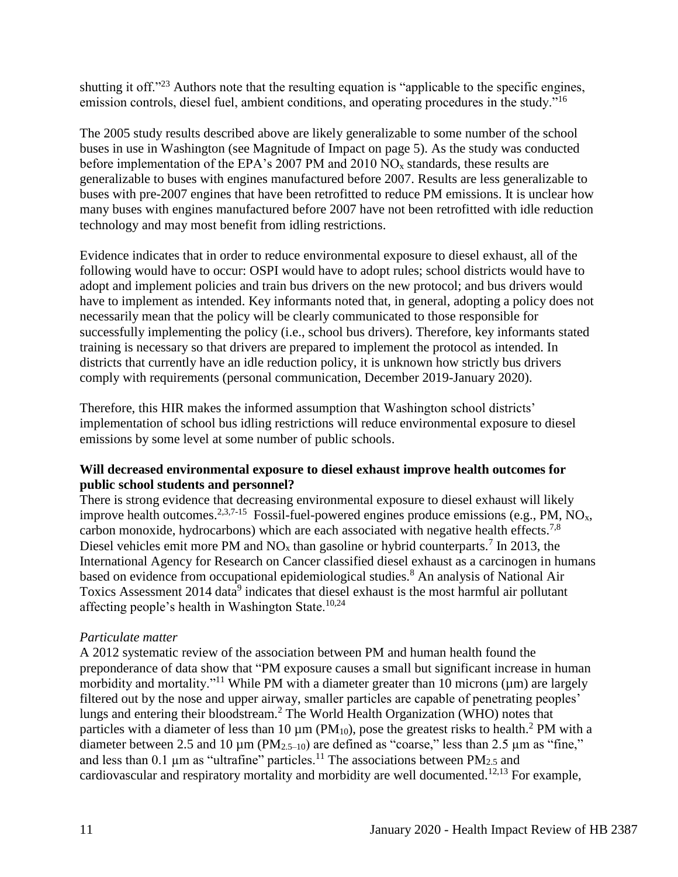shutting it off."<sup>23</sup> Authors note that the resulting equation is "applicable to the specific engines, emission controls, diesel fuel, ambient conditions, and operating procedures in the study."<sup>16</sup>

The 2005 study results described above are likely generalizable to some number of the school buses in use in Washington (see Magnitude of Impact on page 5). As the study was conducted before implementation of the EPA's 2007 PM and 2010  $NO<sub>x</sub>$  standards, these results are generalizable to buses with engines manufactured before 2007. Results are less generalizable to buses with pre-2007 engines that have been retrofitted to reduce PM emissions. It is unclear how many buses with engines manufactured before 2007 have not been retrofitted with idle reduction technology and may most benefit from idling restrictions.

Evidence indicates that in order to reduce environmental exposure to diesel exhaust, all of the following would have to occur: OSPI would have to adopt rules; school districts would have to adopt and implement policies and train bus drivers on the new protocol; and bus drivers would have to implement as intended. Key informants noted that, in general, adopting a policy does not necessarily mean that the policy will be clearly communicated to those responsible for successfully implementing the policy (i.e., school bus drivers). Therefore, key informants stated training is necessary so that drivers are prepared to implement the protocol as intended. In districts that currently have an idle reduction policy, it is unknown how strictly bus drivers comply with requirements (personal communication, December 2019-January 2020).

Therefore, this HIR makes the informed assumption that Washington school districts' implementation of school bus idling restrictions will reduce environmental exposure to diesel emissions by some level at some number of public schools.

# **Will decreased environmental exposure to diesel exhaust improve health outcomes for public school students and personnel?**

There is strong evidence that decreasing environmental exposure to diesel exhaust will likely improve health outcomes.<sup>2,3,7-15</sup> Fossil-fuel-powered engines produce emissions (e.g., PM,  $\overline{NO_x}$ , carbon monoxide, hydrocarbons) which are each associated with negative health effects.<sup>7,8</sup> Diesel vehicles emit more PM and  $NO_x$  than gasoline or hybrid counterparts.<sup>7</sup> In 2013, the International Agency for Research on Cancer classified diesel exhaust as a carcinogen in humans based on evidence from occupational epidemiological studies.<sup>8</sup> An analysis of National Air Toxics Assessment 2014 data $\overline{9}$  indicates that diesel exhaust is the most harmful air pollutant affecting people's health in Washington State. $10,24$ 

# *Particulate matter*

A 2012 systematic review of the association between PM and human health found the preponderance of data show that "PM exposure causes a small but significant increase in human morbidity and mortality."<sup>11</sup> While PM with a diameter greater than 10 microns ( $\mu$ m) are largely filtered out by the nose and upper airway, smaller particles are capable of penetrating peoples' lungs and entering their bloodstream.<sup>2</sup> The World Health Organization (WHO) notes that particles with a diameter of less than 10  $\mu$ m (PM<sub>10</sub>), pose the greatest risks to health.<sup>2</sup> PM with a diameter between 2.5 and 10  $\mu$ m (PM<sub>2.5–10</sub>) are defined as "coarse," less than 2.5  $\mu$ m as "fine," and less than 0.1  $\mu$ m as "ultrafine" particles.<sup>11</sup> The associations between PM<sub>2.5</sub> and cardiovascular and respiratory mortality and morbidity are well documented.<sup>12,13</sup> For example,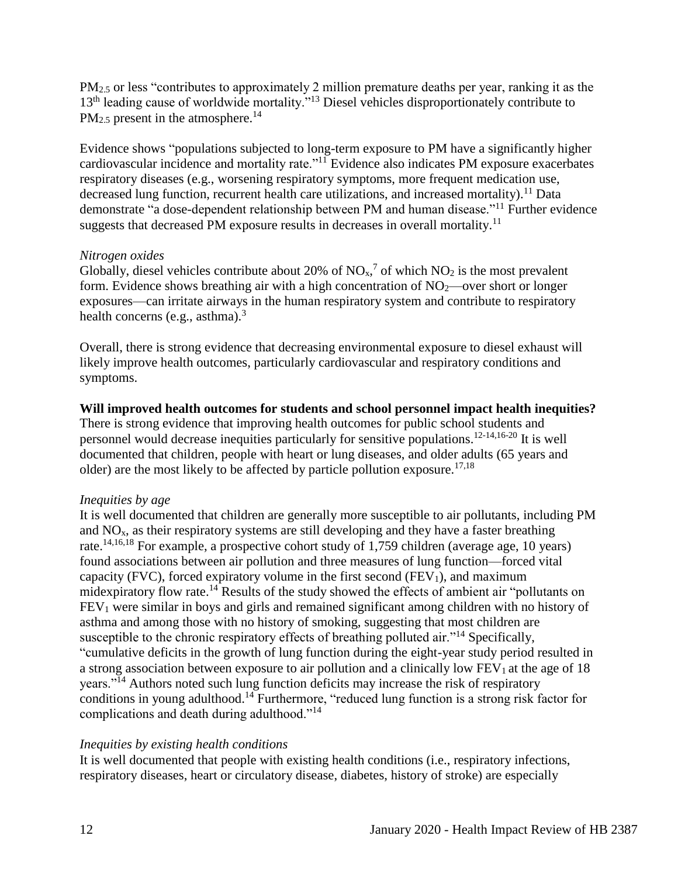PM<sub>2.5</sub> or less "contributes to approximately 2 million premature deaths per year, ranking it as the 13<sup>th</sup> leading cause of worldwide mortality."<sup>13</sup> Diesel vehicles disproportionately contribute to  $PM_{2.5}$  present in the atmosphere.<sup>14</sup>

Evidence shows "populations subjected to long-term exposure to PM have a significantly higher cardiovascular incidence and mortality rate."<sup>11</sup> Evidence also indicates PM exposure exacerbates respiratory diseases (e.g., worsening respiratory symptoms, more frequent medication use, decreased lung function, recurrent health care utilizations, and increased mortality).<sup>11</sup> Data demonstrate "a dose-dependent relationship between PM and human disease."<sup>11</sup> Further evidence suggests that decreased PM exposure results in decreases in overall mortality.<sup>11</sup>

## *Nitrogen oxides*

Globally, diesel vehicles contribute about 20% of  $NO<sub>x</sub>$ ,<sup>7</sup> of which  $NO<sub>2</sub>$  is the most prevalent form. Evidence shows breathing air with a high concentration of  $NO<sub>2</sub>$ —over short or longer exposures—can irritate airways in the human respiratory system and contribute to respiratory health concerns (e.g., asthma). $3$ 

Overall, there is strong evidence that decreasing environmental exposure to diesel exhaust will likely improve health outcomes, particularly cardiovascular and respiratory conditions and symptoms.

# **Will improved health outcomes for students and school personnel impact health inequities?**

There is strong evidence that improving health outcomes for public school students and personnel would decrease inequities particularly for sensitive populations. 12-14,16-20 It is well documented that children, people with heart or lung diseases, and older adults (65 years and older) are the most likely to be affected by particle pollution exposure.<sup>17,18</sup>

## *Inequities by age*

It is well documented that children are generally more susceptible to air pollutants, including PM and  $NO<sub>x</sub>$ , as their respiratory systems are still developing and they have a faster breathing rate.14,16,18 For example, a prospective cohort study of 1,759 children (average age, 10 years) found associations between air pollution and three measures of lung function—forced vital capacity (FVC), forced expiratory volume in the first second (FEV<sub>1</sub>), and maximum midexpiratory flow rate.<sup>14</sup> Results of the study showed the effects of ambient air "pollutants on  $FEV<sub>1</sub>$  were similar in boys and girls and remained significant among children with no history of asthma and among those with no history of smoking, suggesting that most children are susceptible to the chronic respiratory effects of breathing polluted air."<sup>14</sup> Specifically, "cumulative deficits in the growth of lung function during the eight-year study period resulted in a strong association between exposure to air pollution and a clinically low  $FEV<sub>1</sub>$  at the age of 18 years."<sup>14</sup> Authors noted such lung function deficits may increase the risk of respiratory conditions in young adulthood.<sup>14</sup> Furthermore, "reduced lung function is a strong risk factor for complications and death during adulthood."<sup>14</sup>

# *Inequities by existing health conditions*

It is well documented that people with existing health conditions (i.e., respiratory infections, respiratory diseases, heart or circulatory disease, diabetes, history of stroke) are especially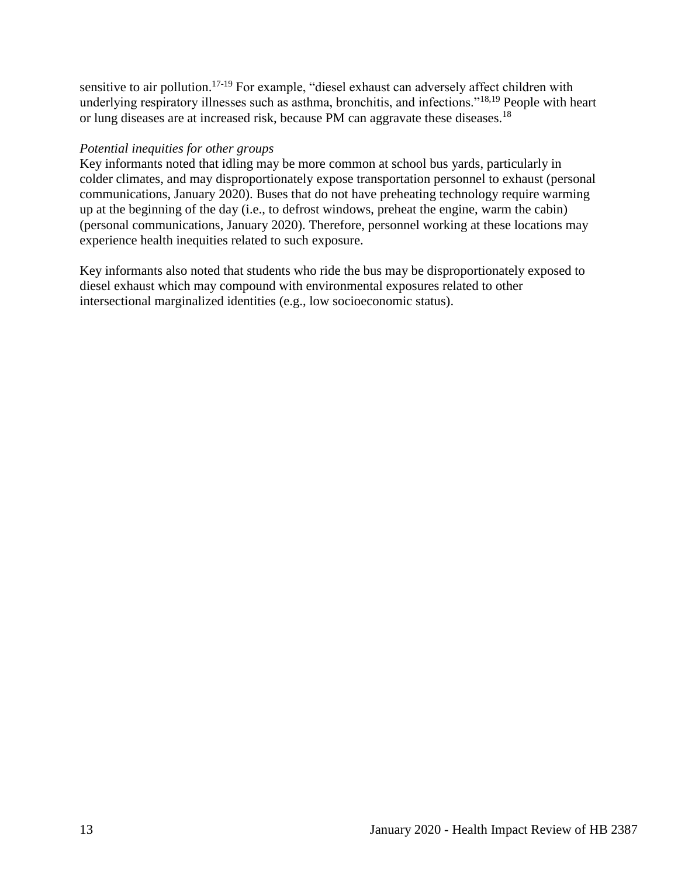sensitive to air pollution.<sup>17-19</sup> For example, "diesel exhaust can adversely affect children with underlying respiratory illnesses such as asthma, bronchitis, and infections."<sup>18,19</sup> People with heart or lung diseases are at increased risk, because PM can aggravate these diseases.<sup>18</sup>

### *Potential inequities for other groups*

Key informants noted that idling may be more common at school bus yards, particularly in colder climates, and may disproportionately expose transportation personnel to exhaust (personal communications, January 2020). Buses that do not have preheating technology require warming up at the beginning of the day (i.e., to defrost windows, preheat the engine, warm the cabin) (personal communications, January 2020). Therefore, personnel working at these locations may experience health inequities related to such exposure.

<span id="page-14-0"></span>Key informants also noted that students who ride the bus may be disproportionately exposed to diesel exhaust which may compound with environmental exposures related to other intersectional marginalized identities (e.g., low socioeconomic status).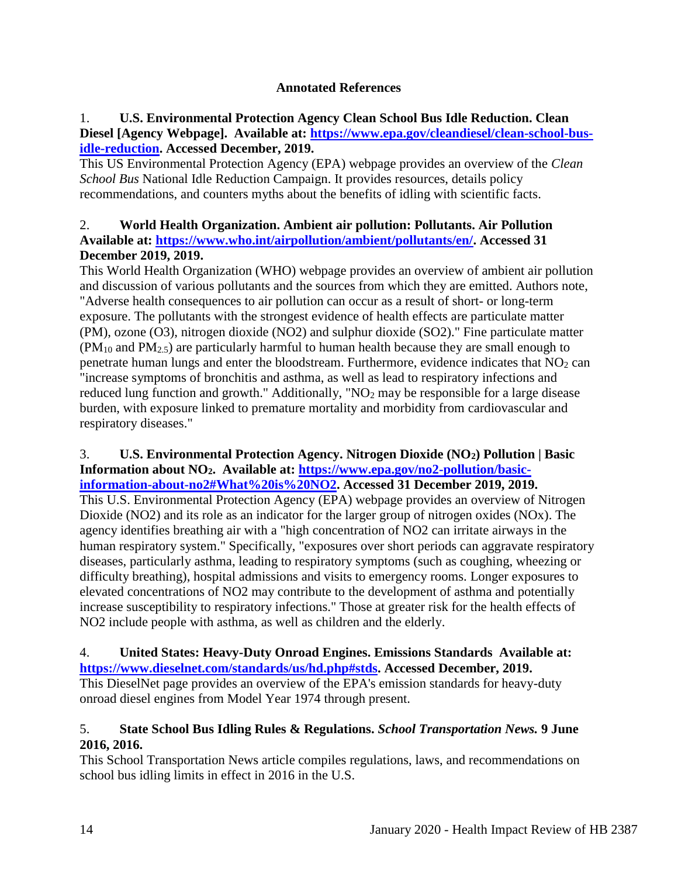## **Annotated References**

## 1. **U.S. Environmental Protection Agency Clean School Bus Idle Reduction. Clean Diesel [Agency Webpage]. Available at: [https://www.epa.gov/cleandiesel/clean-school-bus](https://www.epa.gov/cleandiesel/clean-school-bus-idle-reduction)[idle-reduction.](https://www.epa.gov/cleandiesel/clean-school-bus-idle-reduction) Accessed December, 2019.**

This US Environmental Protection Agency (EPA) webpage provides an overview of the *Clean School Bus* National Idle Reduction Campaign. It provides resources, details policy recommendations, and counters myths about the benefits of idling with scientific facts.

## 2. **World Health Organization. Ambient air pollution: Pollutants. Air Pollution Available at: [https://www.who.int/airpollution/ambient/pollutants/en/.](https://www.who.int/airpollution/ambient/pollutants/en/) Accessed 31 December 2019, 2019.**

This World Health Organization (WHO) webpage provides an overview of ambient air pollution and discussion of various pollutants and the sources from which they are emitted. Authors note, "Adverse health consequences to air pollution can occur as a result of short- or long-term exposure. The pollutants with the strongest evidence of health effects are particulate matter (PM), ozone (O3), nitrogen dioxide (NO2) and sulphur dioxide (SO2)." Fine particulate matter (PM<sup>10</sup> and PM2.5) are particularly harmful to human health because they are small enough to penetrate human lungs and enter the bloodstream. Furthermore, evidence indicates that  $NO<sub>2</sub>$  can "increase symptoms of bronchitis and asthma, as well as lead to respiratory infections and reduced lung function and growth." Additionally, "NO<sub>2</sub> may be responsible for a large disease burden, with exposure linked to premature mortality and morbidity from cardiovascular and respiratory diseases."

#### 3. **U.S. Environmental Protection Agency. Nitrogen Dioxide (NO2) Pollution | Basic Information about NO2. Available at: [https://www.epa.gov/no2-pollution/basic](https://www.epa.gov/no2-pollution/basic-information-about-no2#What%20is%20NO2)[information-about-no2#What%20is%20NO2.](https://www.epa.gov/no2-pollution/basic-information-about-no2#What%20is%20NO2) Accessed 31 December 2019, 2019.**

This U.S. Environmental Protection Agency (EPA) webpage provides an overview of Nitrogen Dioxide (NO2) and its role as an indicator for the larger group of nitrogen oxides (NOx). The agency identifies breathing air with a "high concentration of NO2 can irritate airways in the human respiratory system." Specifically, "exposures over short periods can aggravate respiratory diseases, particularly asthma, leading to respiratory symptoms (such as coughing, wheezing or difficulty breathing), hospital admissions and visits to emergency rooms. Longer exposures to elevated concentrations of NO2 may contribute to the development of asthma and potentially increase susceptibility to respiratory infections." Those at greater risk for the health effects of NO2 include people with asthma, as well as children and the elderly.

### 4. **United States: Heavy-Duty Onroad Engines. Emissions Standards Available at: [https://www.dieselnet.com/standards/us/hd.php#stds.](https://www.dieselnet.com/standards/us/hd.php#stds) Accessed December, 2019.**

This DieselNet page provides an overview of the EPA's emission standards for heavy-duty onroad diesel engines from Model Year 1974 through present.

# 5. **State School Bus Idling Rules & Regulations.** *School Transportation News.* **9 June 2016, 2016.**

This School Transportation News article compiles regulations, laws, and recommendations on school bus idling limits in effect in 2016 in the U.S.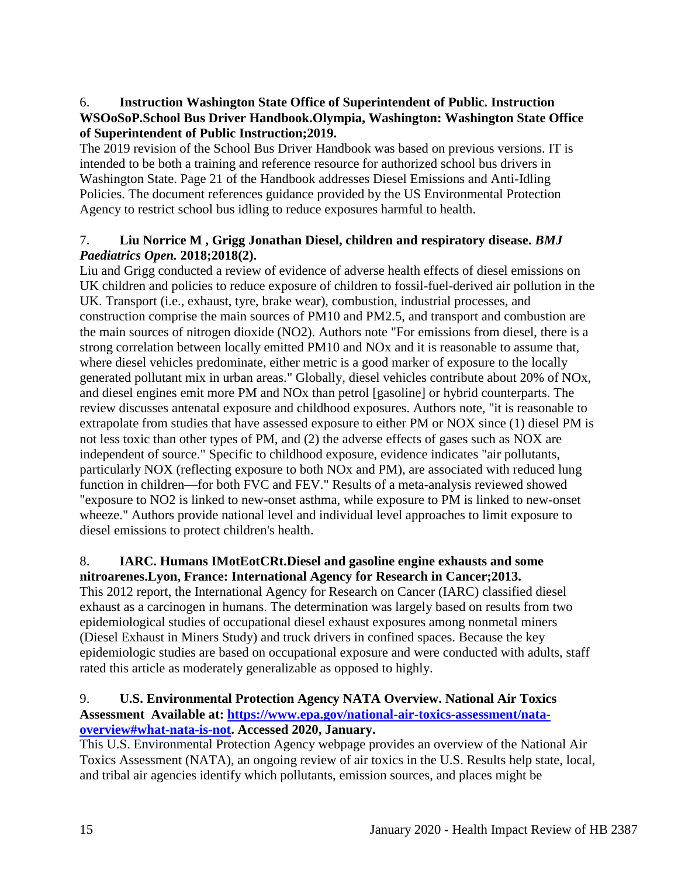## 6. **Instruction Washington State Office of Superintendent of Public. Instruction WSOoSoP.School Bus Driver Handbook.Olympia, Washington: Washington State Office of Superintendent of Public Instruction;2019.**

The 2019 revision of the School Bus Driver Handbook was based on previous versions. IT is intended to be both a training and reference resource for authorized school bus drivers in Washington State. Page 21 of the Handbook addresses Diesel Emissions and Anti-Idling Policies. The document references guidance provided by the US Environmental Protection Agency to restrict school bus idling to reduce exposures harmful to health.

# 7. **Liu Norrice M , Grigg Jonathan Diesel, children and respiratory disease.** *BMJ Paediatrics Open.* **2018;2018(2).**

Liu and Grigg conducted a review of evidence of adverse health effects of diesel emissions on UK children and policies to reduce exposure of children to fossil-fuel-derived air pollution in the UK. Transport (i.e., exhaust, tyre, brake wear), combustion, industrial processes, and construction comprise the main sources of PM10 and PM2.5, and transport and combustion are the main sources of nitrogen dioxide (NO2). Authors note "For emissions from diesel, there is a strong correlation between locally emitted PM10 and NOx and it is reasonable to assume that, where diesel vehicles predominate, either metric is a good marker of exposure to the locally generated pollutant mix in urban areas." Globally, diesel vehicles contribute about 20% of NOx, and diesel engines emit more PM and NOx than petrol [gasoline] or hybrid counterparts. The review discusses antenatal exposure and childhood exposures. Authors note, "it is reasonable to extrapolate from studies that have assessed exposure to either PM or NOX since (1) diesel PM is not less toxic than other types of PM, and (2) the adverse effects of gases such as NOX are independent of source." Specific to childhood exposure, evidence indicates "air pollutants, particularly NOX (reflecting exposure to both NOx and PM), are associated with reduced lung function in children—for both FVC and FEV." Results of a meta-analysis reviewed showed "exposure to NO2 is linked to new-onset asthma, while exposure to PM is linked to new-onset wheeze." Authors provide national level and individual level approaches to limit exposure to diesel emissions to protect children's health.

# 8. **IARC. Humans IMotEotCRt.Diesel and gasoline engine exhausts and some nitroarenes.Lyon, France: International Agency for Research in Cancer;2013.**

This 2012 report, the International Agency for Research on Cancer (IARC) classified diesel exhaust as a carcinogen in humans. The determination was largely based on results from two epidemiological studies of occupational diesel exhaust exposures among nonmetal miners (Diesel Exhaust in Miners Study) and truck drivers in confined spaces. Because the key epidemiologic studies are based on occupational exposure and were conducted with adults, staff rated this article as moderately generalizable as opposed to highly.

## 9. **U.S. Environmental Protection Agency NATA Overview. National Air Toxics Assessment Available at: [https://www.epa.gov/national-air-toxics-assessment/nata](https://www.epa.gov/national-air-toxics-assessment/nata-overview#what-nata-is-not)[overview#what-nata-is-not.](https://www.epa.gov/national-air-toxics-assessment/nata-overview#what-nata-is-not) Accessed 2020, January.**

This U.S. Environmental Protection Agency webpage provides an overview of the National Air Toxics Assessment (NATA), an ongoing review of air toxics in the U.S. Results help state, local, and tribal air agencies identify which pollutants, emission sources, and places might be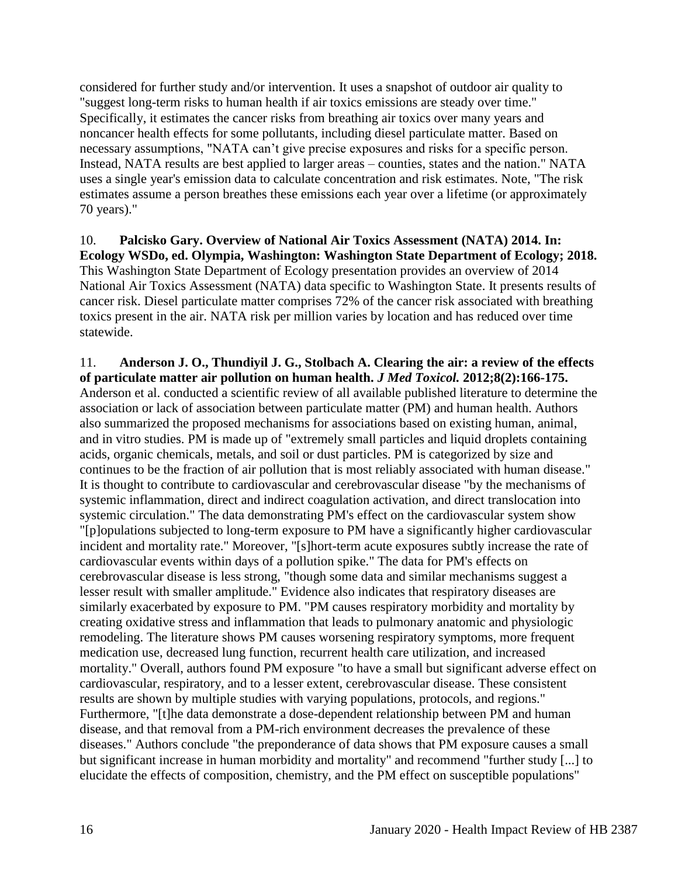considered for further study and/or intervention. It uses a snapshot of outdoor air quality to "suggest long-term risks to human health if air toxics emissions are steady over time." Specifically, it estimates the cancer risks from breathing air toxics over many years and noncancer health effects for some pollutants, including diesel particulate matter. Based on necessary assumptions, "NATA can't give precise exposures and risks for a specific person. Instead, NATA results are best applied to larger areas – counties, states and the nation." NATA uses a single year's emission data to calculate concentration and risk estimates. Note, "The risk estimates assume a person breathes these emissions each year over a lifetime (or approximately 70 years)."

10. **Palcisko Gary. Overview of National Air Toxics Assessment (NATA) 2014. In: Ecology WSDo, ed. Olympia, Washington: Washington State Department of Ecology; 2018.** This Washington State Department of Ecology presentation provides an overview of 2014 National Air Toxics Assessment (NATA) data specific to Washington State. It presents results of cancer risk. Diesel particulate matter comprises 72% of the cancer risk associated with breathing toxics present in the air. NATA risk per million varies by location and has reduced over time statewide.

11. **Anderson J. O., Thundiyil J. G., Stolbach A. Clearing the air: a review of the effects of particulate matter air pollution on human health.** *J Med Toxicol.* **2012;8(2):166-175.** Anderson et al. conducted a scientific review of all available published literature to determine the association or lack of association between particulate matter (PM) and human health. Authors also summarized the proposed mechanisms for associations based on existing human, animal, and in vitro studies. PM is made up of "extremely small particles and liquid droplets containing acids, organic chemicals, metals, and soil or dust particles. PM is categorized by size and continues to be the fraction of air pollution that is most reliably associated with human disease." It is thought to contribute to cardiovascular and cerebrovascular disease "by the mechanisms of systemic inflammation, direct and indirect coagulation activation, and direct translocation into systemic circulation." The data demonstrating PM's effect on the cardiovascular system show "[p]opulations subjected to long-term exposure to PM have a significantly higher cardiovascular incident and mortality rate." Moreover, "[s]hort-term acute exposures subtly increase the rate of cardiovascular events within days of a pollution spike." The data for PM's effects on cerebrovascular disease is less strong, "though some data and similar mechanisms suggest a lesser result with smaller amplitude." Evidence also indicates that respiratory diseases are similarly exacerbated by exposure to PM. "PM causes respiratory morbidity and mortality by creating oxidative stress and inflammation that leads to pulmonary anatomic and physiologic remodeling. The literature shows PM causes worsening respiratory symptoms, more frequent medication use, decreased lung function, recurrent health care utilization, and increased mortality." Overall, authors found PM exposure "to have a small but significant adverse effect on cardiovascular, respiratory, and to a lesser extent, cerebrovascular disease. These consistent results are shown by multiple studies with varying populations, protocols, and regions." Furthermore, "[t]he data demonstrate a dose-dependent relationship between PM and human disease, and that removal from a PM-rich environment decreases the prevalence of these diseases." Authors conclude "the preponderance of data shows that PM exposure causes a small but significant increase in human morbidity and mortality" and recommend "further study [...] to elucidate the effects of composition, chemistry, and the PM effect on susceptible populations"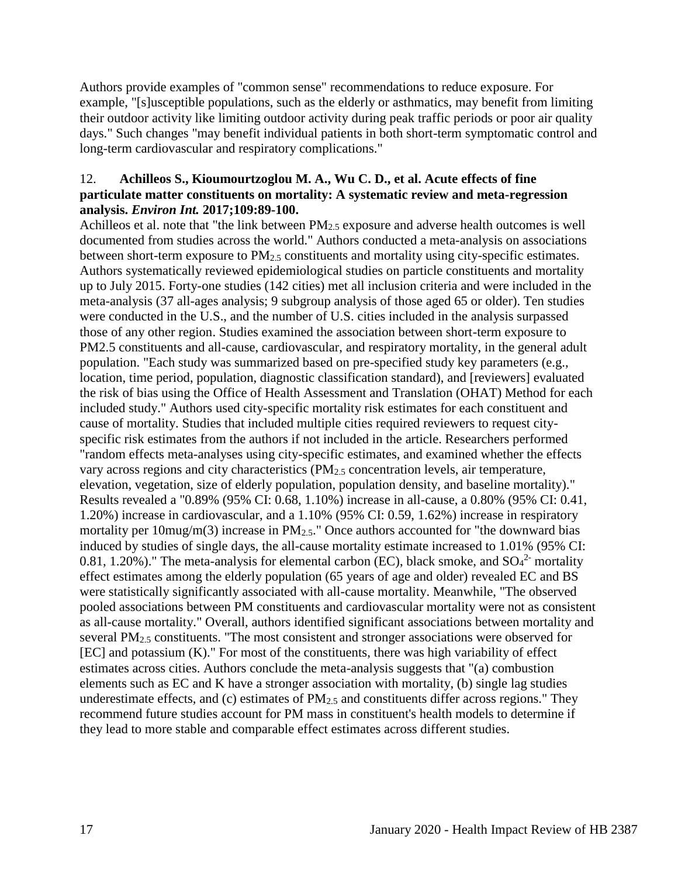Authors provide examples of "common sense" recommendations to reduce exposure. For example, "[s]usceptible populations, such as the elderly or asthmatics, may benefit from limiting their outdoor activity like limiting outdoor activity during peak traffic periods or poor air quality days." Such changes "may benefit individual patients in both short-term symptomatic control and long-term cardiovascular and respiratory complications."

### 12. **Achilleos S., Kioumourtzoglou M. A., Wu C. D., et al. Acute effects of fine particulate matter constituents on mortality: A systematic review and meta-regression analysis.** *Environ Int.* **2017;109:89-100.**

Achilleos et al. note that "the link between  $PM_{2.5}$  exposure and adverse health outcomes is well documented from studies across the world." Authors conducted a meta-analysis on associations between short-term exposure to PM<sub>2.5</sub> constituents and mortality using city-specific estimates. Authors systematically reviewed epidemiological studies on particle constituents and mortality up to July 2015. Forty-one studies (142 cities) met all inclusion criteria and were included in the meta-analysis (37 all-ages analysis; 9 subgroup analysis of those aged 65 or older). Ten studies were conducted in the U.S., and the number of U.S. cities included in the analysis surpassed those of any other region. Studies examined the association between short-term exposure to PM2.5 constituents and all-cause, cardiovascular, and respiratory mortality, in the general adult population. "Each study was summarized based on pre-specified study key parameters (e.g., location, time period, population, diagnostic classification standard), and [reviewers] evaluated the risk of bias using the Office of Health Assessment and Translation (OHAT) Method for each included study." Authors used city-specific mortality risk estimates for each constituent and cause of mortality. Studies that included multiple cities required reviewers to request cityspecific risk estimates from the authors if not included in the article. Researchers performed "random effects meta-analyses using city-specific estimates, and examined whether the effects vary across regions and city characteristics  $(PM<sub>2.5</sub>$  concentration levels, air temperature, elevation, vegetation, size of elderly population, population density, and baseline mortality)." Results revealed a "0.89% (95% CI: 0.68, 1.10%) increase in all-cause, a 0.80% (95% CI: 0.41, 1.20%) increase in cardiovascular, and a 1.10% (95% CI: 0.59, 1.62%) increase in respiratory mortality per 10mug/m(3) increase in  $PM_{2.5}$ ." Once authors accounted for "the downward bias induced by studies of single days, the all-cause mortality estimate increased to 1.01% (95% CI: 0.81, 1.20%)." The meta-analysis for elemental carbon (EC), black smoke, and  $SO<sub>4</sub><sup>2</sup>$  mortality effect estimates among the elderly population (65 years of age and older) revealed EC and BS were statistically significantly associated with all-cause mortality. Meanwhile, "The observed pooled associations between PM constituents and cardiovascular mortality were not as consistent as all-cause mortality." Overall, authors identified significant associations between mortality and several PM2.5 constituents. "The most consistent and stronger associations were observed for [EC] and potassium (K)." For most of the constituents, there was high variability of effect estimates across cities. Authors conclude the meta-analysis suggests that "(a) combustion elements such as EC and K have a stronger association with mortality, (b) single lag studies underestimate effects, and (c) estimates of  $PM<sub>2.5</sub>$  and constituents differ across regions." They recommend future studies account for PM mass in constituent's health models to determine if they lead to more stable and comparable effect estimates across different studies.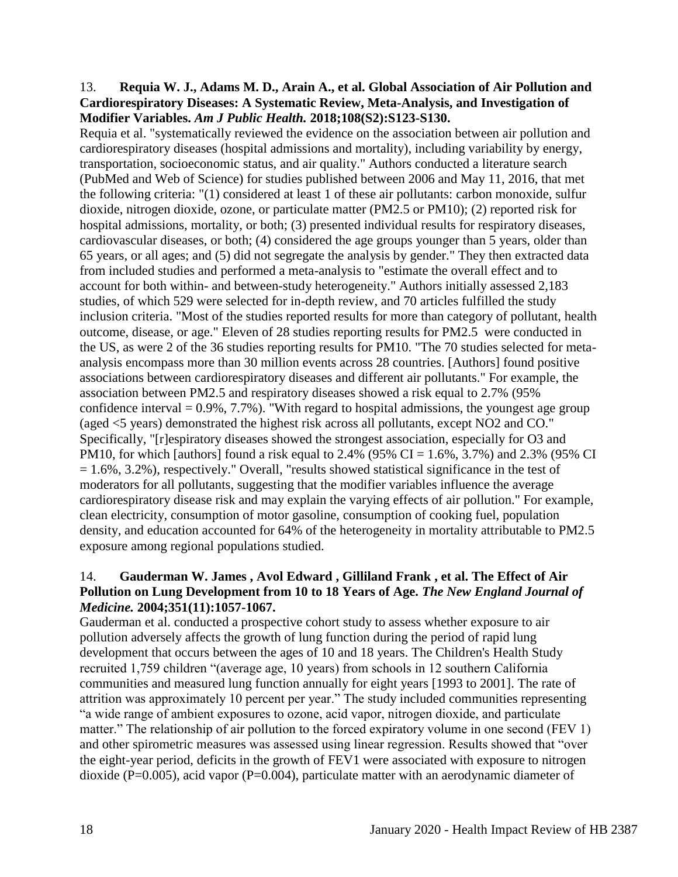### 13. **Requia W. J., Adams M. D., Arain A., et al. Global Association of Air Pollution and Cardiorespiratory Diseases: A Systematic Review, Meta-Analysis, and Investigation of Modifier Variables.** *Am J Public Health.* **2018;108(S2):S123-S130.**

Requia et al. "systematically reviewed the evidence on the association between air pollution and cardiorespiratory diseases (hospital admissions and mortality), including variability by energy, transportation, socioeconomic status, and air quality." Authors conducted a literature search (PubMed and Web of Science) for studies published between 2006 and May 11, 2016, that met the following criteria: "(1) considered at least 1 of these air pollutants: carbon monoxide, sulfur dioxide, nitrogen dioxide, ozone, or particulate matter (PM2.5 or PM10); (2) reported risk for hospital admissions, mortality, or both; (3) presented individual results for respiratory diseases, cardiovascular diseases, or both; (4) considered the age groups younger than 5 years, older than 65 years, or all ages; and (5) did not segregate the analysis by gender." They then extracted data from included studies and performed a meta-analysis to "estimate the overall effect and to account for both within- and between-study heterogeneity." Authors initially assessed 2,183 studies, of which 529 were selected for in-depth review, and 70 articles fulfilled the study inclusion criteria. "Most of the studies reported results for more than category of pollutant, health outcome, disease, or age." Eleven of 28 studies reporting results for PM2.5 were conducted in the US, as were 2 of the 36 studies reporting results for PM10. "The 70 studies selected for metaanalysis encompass more than 30 million events across 28 countries. [Authors] found positive associations between cardiorespiratory diseases and different air pollutants." For example, the association between PM2.5 and respiratory diseases showed a risk equal to 2.7% (95% confidence interval  $= 0.9\%$ , 7.7%). "With regard to hospital admissions, the youngest age group (aged <5 years) demonstrated the highest risk across all pollutants, except NO2 and CO." Specifically, "[r]espiratory diseases showed the strongest association, especially for O3 and PM10, for which [authors] found a risk equal to 2.4% (95% CI =  $1.6\%$ , 3.7%) and 2.3% (95% CI  $= 1.6\%$ , 3.2%), respectively." Overall, "results showed statistical significance in the test of moderators for all pollutants, suggesting that the modifier variables influence the average cardiorespiratory disease risk and may explain the varying effects of air pollution." For example, clean electricity, consumption of motor gasoline, consumption of cooking fuel, population density, and education accounted for 64% of the heterogeneity in mortality attributable to PM2.5 exposure among regional populations studied.

### 14. **Gauderman W. James , Avol Edward , Gilliland Frank , et al. The Effect of Air Pollution on Lung Development from 10 to 18 Years of Age.** *The New England Journal of Medicine.* **2004;351(11):1057-1067.**

Gauderman et al. conducted a prospective cohort study to assess whether exposure to air pollution adversely affects the growth of lung function during the period of rapid lung development that occurs between the ages of 10 and 18 years. The Children's Health Study recruited 1,759 children "(average age, 10 years) from schools in 12 southern California communities and measured lung function annually for eight years [1993 to 2001]. The rate of attrition was approximately 10 percent per year." The study included communities representing "a wide range of ambient exposures to ozone, acid vapor, nitrogen dioxide, and particulate matter." The relationship of air pollution to the forced expiratory volume in one second (FEV 1) and other spirometric measures was assessed using linear regression. Results showed that "over the eight-year period, deficits in the growth of FEV1 were associated with exposure to nitrogen dioxide (P=0.005), acid vapor (P=0.004), particulate matter with an aerodynamic diameter of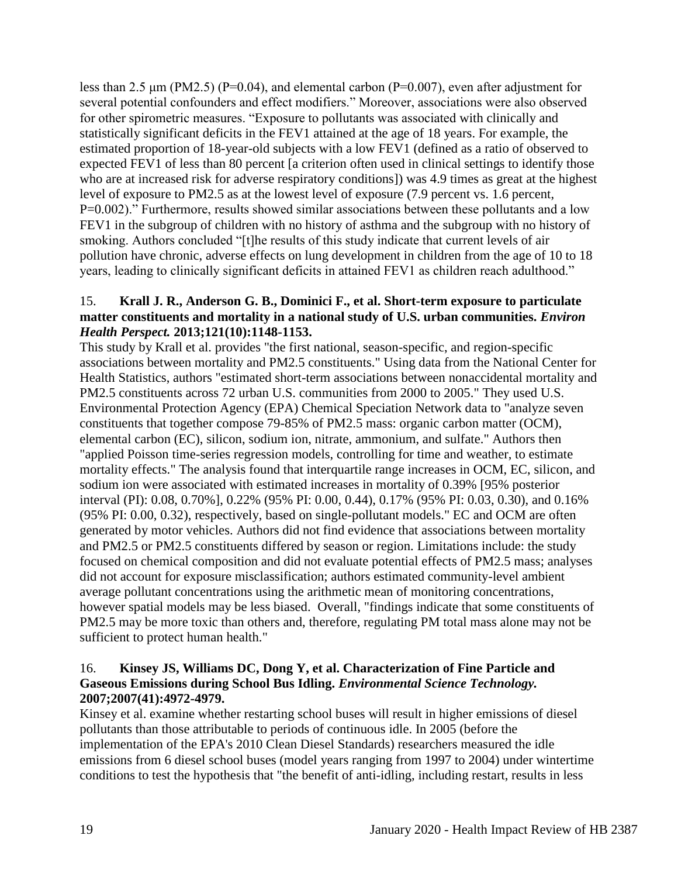less than 2.5  $\mu$ m (PM2.5) (P=0.04), and elemental carbon (P=0.007), even after adjustment for several potential confounders and effect modifiers." Moreover, associations were also observed for other spirometric measures. "Exposure to pollutants was associated with clinically and statistically significant deficits in the FEV1 attained at the age of 18 years. For example, the estimated proportion of 18-year-old subjects with a low FEV1 (defined as a ratio of observed to expected FEV1 of less than 80 percent [a criterion often used in clinical settings to identify those who are at increased risk for adverse respiratory conditions]) was 4.9 times as great at the highest level of exposure to PM2.5 as at the lowest level of exposure (7.9 percent vs. 1.6 percent, P=0.002)." Furthermore, results showed similar associations between these pollutants and a low FEV1 in the subgroup of children with no history of asthma and the subgroup with no history of smoking. Authors concluded "[t]he results of this study indicate that current levels of air pollution have chronic, adverse effects on lung development in children from the age of 10 to 18 years, leading to clinically significant deficits in attained FEV1 as children reach adulthood."

## 15. **Krall J. R., Anderson G. B., Dominici F., et al. Short-term exposure to particulate matter constituents and mortality in a national study of U.S. urban communities.** *Environ Health Perspect.* **2013;121(10):1148-1153.**

This study by Krall et al. provides "the first national, season-specific, and region-specific associations between mortality and PM2.5 constituents." Using data from the National Center for Health Statistics, authors "estimated short-term associations between nonaccidental mortality and PM2.5 constituents across 72 urban U.S. communities from 2000 to 2005." They used U.S. Environmental Protection Agency (EPA) Chemical Speciation Network data to "analyze seven constituents that together compose 79-85% of PM2.5 mass: organic carbon matter (OCM), elemental carbon (EC), silicon, sodium ion, nitrate, ammonium, and sulfate." Authors then "applied Poisson time-series regression models, controlling for time and weather, to estimate mortality effects." The analysis found that interquartile range increases in OCM, EC, silicon, and sodium ion were associated with estimated increases in mortality of 0.39% [95% posterior interval (PI): 0.08, 0.70%], 0.22% (95% PI: 0.00, 0.44), 0.17% (95% PI: 0.03, 0.30), and 0.16% (95% PI: 0.00, 0.32), respectively, based on single-pollutant models." EC and OCM are often generated by motor vehicles. Authors did not find evidence that associations between mortality and PM2.5 or PM2.5 constituents differed by season or region. Limitations include: the study focused on chemical composition and did not evaluate potential effects of PM2.5 mass; analyses did not account for exposure misclassification; authors estimated community-level ambient average pollutant concentrations using the arithmetic mean of monitoring concentrations, however spatial models may be less biased. Overall, "findings indicate that some constituents of PM2.5 may be more toxic than others and, therefore, regulating PM total mass alone may not be sufficient to protect human health."

## 16. **Kinsey JS, Williams DC, Dong Y, et al. Characterization of Fine Particle and Gaseous Emissions during School Bus Idling.** *Environmental Science Technology.*  **2007;2007(41):4972-4979.**

Kinsey et al. examine whether restarting school buses will result in higher emissions of diesel pollutants than those attributable to periods of continuous idle. In 2005 (before the implementation of the EPA's 2010 Clean Diesel Standards) researchers measured the idle emissions from 6 diesel school buses (model years ranging from 1997 to 2004) under wintertime conditions to test the hypothesis that "the benefit of anti-idling, including restart, results in less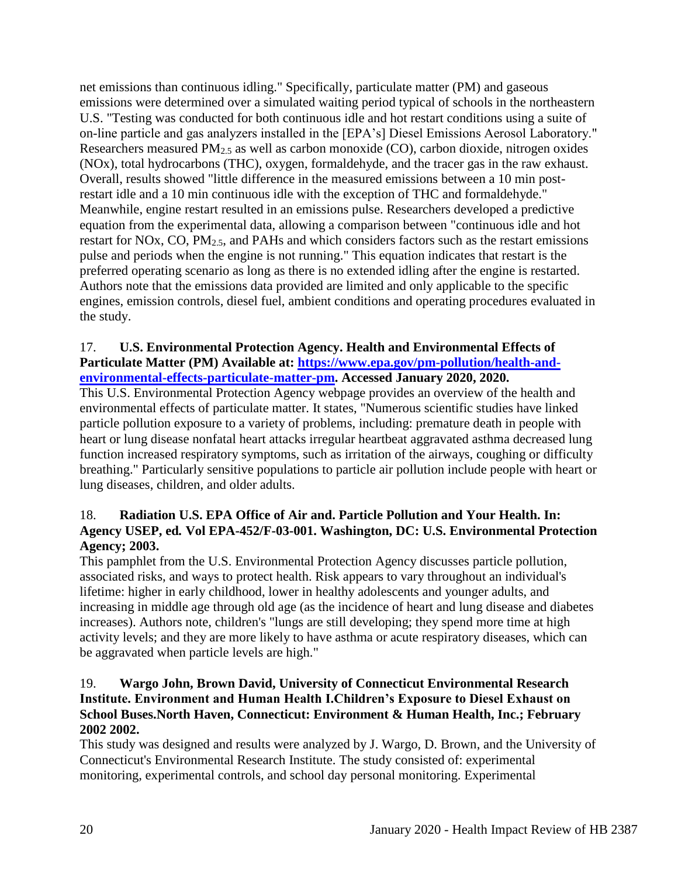net emissions than continuous idling." Specifically, particulate matter (PM) and gaseous emissions were determined over a simulated waiting period typical of schools in the northeastern U.S. "Testing was conducted for both continuous idle and hot restart conditions using a suite of on-line particle and gas analyzers installed in the [EPA's] Diesel Emissions Aerosol Laboratory." Researchers measured PM2.5 as well as carbon monoxide (CO), carbon dioxide, nitrogen oxides (NOx), total hydrocarbons (THC), oxygen, formaldehyde, and the tracer gas in the raw exhaust. Overall, results showed "little difference in the measured emissions between a 10 min postrestart idle and a 10 min continuous idle with the exception of THC and formaldehyde." Meanwhile, engine restart resulted in an emissions pulse. Researchers developed a predictive equation from the experimental data, allowing a comparison between "continuous idle and hot restart for NOx, CO, PM2.5, and PAHs and which considers factors such as the restart emissions pulse and periods when the engine is not running." This equation indicates that restart is the preferred operating scenario as long as there is no extended idling after the engine is restarted. Authors note that the emissions data provided are limited and only applicable to the specific engines, emission controls, diesel fuel, ambient conditions and operating procedures evaluated in the study.

## 17. **U.S. Environmental Protection Agency. Health and Environmental Effects of Particulate Matter (PM) Available at: [https://www.epa.gov/pm-pollution/health-and](https://www.epa.gov/pm-pollution/health-and-environmental-effects-particulate-matter-pm)[environmental-effects-particulate-matter-pm.](https://www.epa.gov/pm-pollution/health-and-environmental-effects-particulate-matter-pm) Accessed January 2020, 2020.**

This U.S. Environmental Protection Agency webpage provides an overview of the health and environmental effects of particulate matter. It states, "Numerous scientific studies have linked particle pollution exposure to a variety of problems, including: premature death in people with heart or lung disease nonfatal heart attacks irregular heartbeat aggravated asthma decreased lung function increased respiratory symptoms, such as irritation of the airways, coughing or difficulty breathing." Particularly sensitive populations to particle air pollution include people with heart or lung diseases, children, and older adults.

# 18. **Radiation U.S. EPA Office of Air and. Particle Pollution and Your Health. In: Agency USEP, ed***.* **Vol EPA-452/F-03-001. Washington, DC: U.S. Environmental Protection Agency; 2003.**

This pamphlet from the U.S. Environmental Protection Agency discusses particle pollution, associated risks, and ways to protect health. Risk appears to vary throughout an individual's lifetime: higher in early childhood, lower in healthy adolescents and younger adults, and increasing in middle age through old age (as the incidence of heart and lung disease and diabetes increases). Authors note, children's "lungs are still developing; they spend more time at high activity levels; and they are more likely to have asthma or acute respiratory diseases, which can be aggravated when particle levels are high."

# 19. **Wargo John, Brown David, University of Connecticut Environmental Research Institute. Environment and Human Health I.Children's Exposure to Diesel Exhaust on School Buses.North Haven, Connecticut: Environment & Human Health, Inc.; February 2002 2002.**

This study was designed and results were analyzed by J. Wargo, D. Brown, and the University of Connecticut's Environmental Research Institute. The study consisted of: experimental monitoring, experimental controls, and school day personal monitoring. Experimental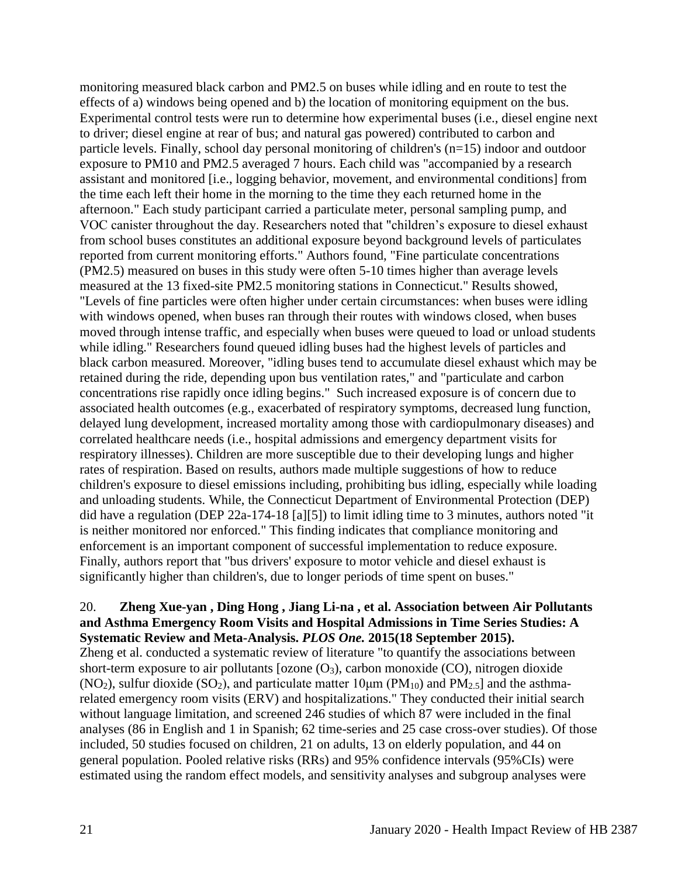monitoring measured black carbon and PM2.5 on buses while idling and en route to test the effects of a) windows being opened and b) the location of monitoring equipment on the bus. Experimental control tests were run to determine how experimental buses (i.e., diesel engine next to driver; diesel engine at rear of bus; and natural gas powered) contributed to carbon and particle levels. Finally, school day personal monitoring of children's (n=15) indoor and outdoor exposure to PM10 and PM2.5 averaged 7 hours. Each child was "accompanied by a research assistant and monitored [i.e., logging behavior, movement, and environmental conditions] from the time each left their home in the morning to the time they each returned home in the afternoon." Each study participant carried a particulate meter, personal sampling pump, and VOC canister throughout the day. Researchers noted that "children's exposure to diesel exhaust from school buses constitutes an additional exposure beyond background levels of particulates reported from current monitoring efforts." Authors found, "Fine particulate concentrations (PM2.5) measured on buses in this study were often 5-10 times higher than average levels measured at the 13 fixed-site PM2.5 monitoring stations in Connecticut." Results showed, "Levels of fine particles were often higher under certain circumstances: when buses were idling with windows opened, when buses ran through their routes with windows closed, when buses moved through intense traffic, and especially when buses were queued to load or unload students while idling." Researchers found queued idling buses had the highest levels of particles and black carbon measured. Moreover, "idling buses tend to accumulate diesel exhaust which may be retained during the ride, depending upon bus ventilation rates," and "particulate and carbon concentrations rise rapidly once idling begins." Such increased exposure is of concern due to associated health outcomes (e.g., exacerbated of respiratory symptoms, decreased lung function, delayed lung development, increased mortality among those with cardiopulmonary diseases) and correlated healthcare needs (i.e., hospital admissions and emergency department visits for respiratory illnesses). Children are more susceptible due to their developing lungs and higher rates of respiration. Based on results, authors made multiple suggestions of how to reduce children's exposure to diesel emissions including, prohibiting bus idling, especially while loading and unloading students. While, the Connecticut Department of Environmental Protection (DEP) did have a regulation (DEP 22a-174-18 [a][5]) to limit idling time to 3 minutes, authors noted "it is neither monitored nor enforced." This finding indicates that compliance monitoring and enforcement is an important component of successful implementation to reduce exposure. Finally, authors report that "bus drivers' exposure to motor vehicle and diesel exhaust is significantly higher than children's, due to longer periods of time spent on buses."

## 20. **Zheng Xue-yan , Ding Hong , Jiang Li-na , et al. Association between Air Pollutants and Asthma Emergency Room Visits and Hospital Admissions in Time Series Studies: A Systematic Review and Meta-Analysis.** *PLOS One.* **2015(18 September 2015).**

Zheng et al. conducted a systematic review of literature "to quantify the associations between short-term exposure to air pollutants [ozone  $(O_3)$ , carbon monoxide  $(CO)$ , nitrogen dioxide (NO<sub>2</sub>), sulfur dioxide (SO<sub>2</sub>), and particulate matter 10 $\mu$ m (PM<sub>10</sub>) and PM<sub>2.5</sub>] and the asthmarelated emergency room visits (ERV) and hospitalizations." They conducted their initial search without language limitation, and screened 246 studies of which 87 were included in the final analyses (86 in English and 1 in Spanish; 62 time-series and 25 case cross-over studies). Of those included, 50 studies focused on children, 21 on adults, 13 on elderly population, and 44 on general population. Pooled relative risks (RRs) and 95% confidence intervals (95%CIs) were estimated using the random effect models, and sensitivity analyses and subgroup analyses were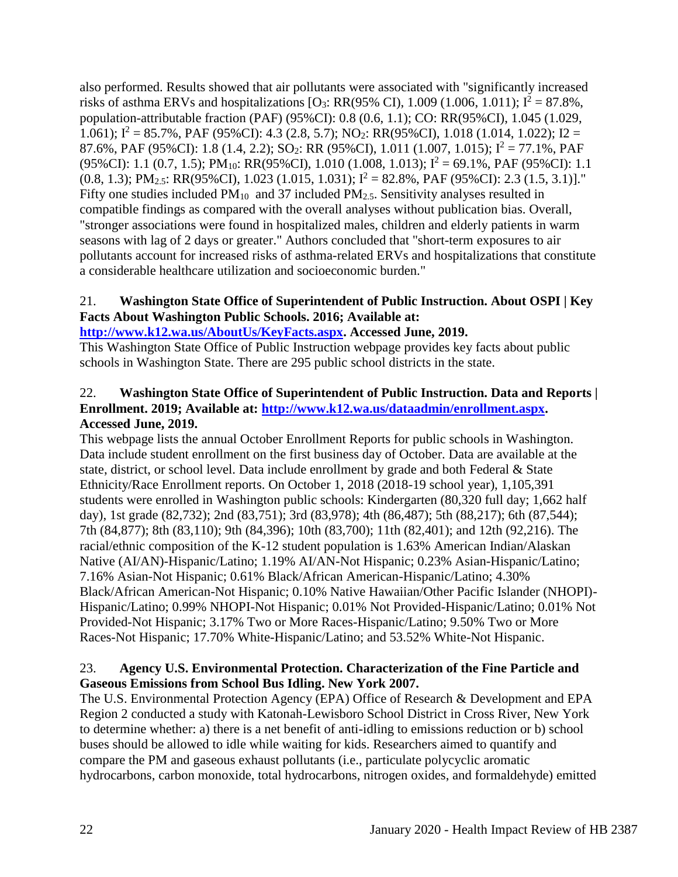also performed. Results showed that air pollutants were associated with "significantly increased risks of asthma ERVs and hospitalizations [O<sub>3</sub>: RR(95% CI), 1.009 (1.006, 1.011);  $I^2 = 87.8\%$ , population-attributable fraction (PAF) (95%CI): 0.8 (0.6, 1.1); CO: RR(95%CI), 1.045 (1.029, 1.061);  $I^2 = 85.7\%$ , PAF (95%CI): 4.3 (2.8, 5.7); NO<sub>2</sub>: RR(95%CI), 1.018 (1.014, 1.022); I2 = 87.6%, PAF (95%CI): 1.8 (1.4, 2.2); SO<sub>2</sub>: RR (95%CI), 1.011 (1.007, 1.015);  $I^2 = 77.1\%$ , PAF (95%CI): 1.1 (0.7, 1.5); PM<sub>10</sub>: RR(95%CI), 1.010 (1.008, 1.013);  $I^2 = 69.1\%$ , PAF (95%CI): 1.1  $(0.8, 1.3); PM<sub>2.5</sub>: RR(95%CI), 1.023 (1.015, 1.031); I<sup>2</sup> = 82.8%, PAF (95%CI): 2.3 (1.5, 3.1)].$ " Fifty one studies included  $PM_{10}$  and 37 included  $PM_{2.5}$ . Sensitivity analyses resulted in compatible findings as compared with the overall analyses without publication bias. Overall, "stronger associations were found in hospitalized males, children and elderly patients in warm seasons with lag of 2 days or greater." Authors concluded that "short-term exposures to air pollutants account for increased risks of asthma-related ERVs and hospitalizations that constitute a considerable healthcare utilization and socioeconomic burden."

## 21. **Washington State Office of Superintendent of Public Instruction. About OSPI | Key Facts About Washington Public Schools. 2016; Available at:**

**[http://www.k12.wa.us/AboutUs/KeyFacts.aspx.](http://www.k12.wa.us/AboutUs/KeyFacts.aspx) Accessed June, 2019.**

This Washington State Office of Public Instruction webpage provides key facts about public schools in Washington State. There are 295 public school districts in the state.

### 22. **Washington State Office of Superintendent of Public Instruction. Data and Reports | Enrollment. 2019; Available at: [http://www.k12.wa.us/dataadmin/enrollment.aspx.](http://www.k12.wa.us/dataadmin/enrollment.aspx) Accessed June, 2019.**

This webpage lists the annual October Enrollment Reports for public schools in Washington. Data include student enrollment on the first business day of October. Data are available at the state, district, or school level. Data include enrollment by grade and both Federal & State Ethnicity/Race Enrollment reports. On October 1, 2018 (2018-19 school year), 1,105,391 students were enrolled in Washington public schools: Kindergarten (80,320 full day; 1,662 half day), 1st grade (82,732); 2nd (83,751); 3rd (83,978); 4th (86,487); 5th (88,217); 6th (87,544); 7th (84,877); 8th (83,110); 9th (84,396); 10th (83,700); 11th (82,401); and 12th (92,216). The racial/ethnic composition of the K-12 student population is 1.63% American Indian/Alaskan Native (AI/AN)-Hispanic/Latino; 1.19% AI/AN-Not Hispanic; 0.23% Asian-Hispanic/Latino; 7.16% Asian-Not Hispanic; 0.61% Black/African American-Hispanic/Latino; 4.30% Black/African American-Not Hispanic; 0.10% Native Hawaiian/Other Pacific Islander (NHOPI)- Hispanic/Latino; 0.99% NHOPI-Not Hispanic; 0.01% Not Provided-Hispanic/Latino; 0.01% Not Provided-Not Hispanic; 3.17% Two or More Races-Hispanic/Latino; 9.50% Two or More Races-Not Hispanic; 17.70% White-Hispanic/Latino; and 53.52% White-Not Hispanic.

## 23. **Agency U.S. Environmental Protection. Characterization of the Fine Particle and Gaseous Emissions from School Bus Idling. New York 2007.**

The U.S. Environmental Protection Agency (EPA) Office of Research & Development and EPA Region 2 conducted a study with Katonah-Lewisboro School District in Cross River, New York to determine whether: a) there is a net benefit of anti-idling to emissions reduction or b) school buses should be allowed to idle while waiting for kids. Researchers aimed to quantify and compare the PM and gaseous exhaust pollutants (i.e., particulate polycyclic aromatic hydrocarbons, carbon monoxide, total hydrocarbons, nitrogen oxides, and formaldehyde) emitted